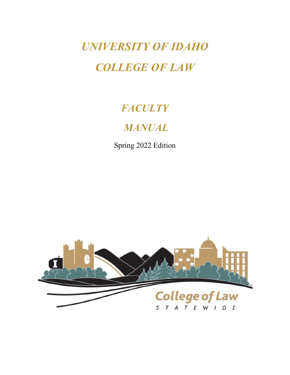*UNIVERSITY OF IDAHO COLLEGE OF LAW*

# *FACULTY*

# *MANUAL*

Spring 2022 Edition

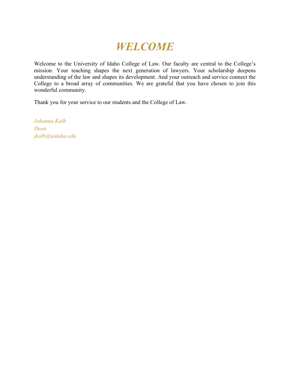# *WELCOME*

Welcome to the University of Idaho College of Law. Our faculty are central to the College's mission. Your teaching shapes the next generation of lawyers. Your scholarship deepens understanding of the law and shapes its development. And your outreach and service connect the College to a broad array of communities. We are grateful that you have chosen to join this wonderful community.

Thank you for your service to our students and the College of Law.

*Johanna Kalb Dean jkalb@uidaho.edu*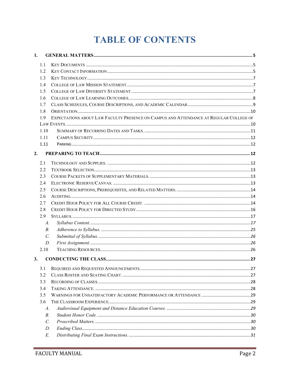# **TABLE OF CONTENTS**

| 1. |                 |                                                                                        |  |
|----|-----------------|----------------------------------------------------------------------------------------|--|
|    | 1.1             |                                                                                        |  |
|    | 1.2             |                                                                                        |  |
|    | 1.3             |                                                                                        |  |
|    | 1.4             |                                                                                        |  |
|    | 1.5             |                                                                                        |  |
|    | 1.6             |                                                                                        |  |
|    | 1.7             |                                                                                        |  |
|    | 1.8             |                                                                                        |  |
|    | 1.9             | EXPECTATIONS ABOUT LAW FACULTY PRESENCE ON CAMPUS AND ATTENDANCE AT REGULAR COLLEGE OF |  |
|    |                 |                                                                                        |  |
|    | 1.10            |                                                                                        |  |
|    | 1.11            |                                                                                        |  |
|    | 1.11            |                                                                                        |  |
| 2. |                 |                                                                                        |  |
|    |                 |                                                                                        |  |
|    | 2.1             |                                                                                        |  |
|    | 2.2             |                                                                                        |  |
|    | 2.3             |                                                                                        |  |
|    | 2.4             |                                                                                        |  |
|    | 2.5             |                                                                                        |  |
|    | 2.6             |                                                                                        |  |
|    | 2.7             |                                                                                        |  |
|    | 2.8             |                                                                                        |  |
|    | 2.9             |                                                                                        |  |
|    | A.              |                                                                                        |  |
|    | $B_{\cdot}$     |                                                                                        |  |
|    | $\mathcal{C}$ . |                                                                                        |  |
|    | D.              |                                                                                        |  |
|    | 2.10            |                                                                                        |  |
| 3. |                 |                                                                                        |  |
|    | 3.1             |                                                                                        |  |
|    | 3.2             |                                                                                        |  |
|    | 3.3             |                                                                                        |  |
|    | 3.4             |                                                                                        |  |
|    | 3.5             |                                                                                        |  |
|    | 3.6             |                                                                                        |  |
|    | A.              |                                                                                        |  |
|    | <i>B</i> .      |                                                                                        |  |
|    | $\mathcal{C}$ . |                                                                                        |  |
|    | D.              |                                                                                        |  |
|    | Е.              |                                                                                        |  |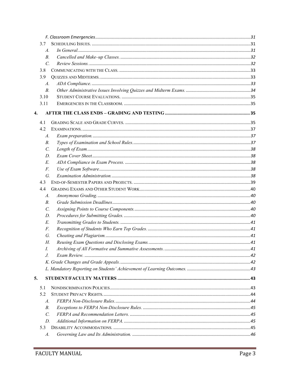| 3.7             |    |  |
|-----------------|----|--|
| A.              |    |  |
| $B$ .           |    |  |
| $\mathcal{C}$ . |    |  |
| 3.8             |    |  |
| 3.9             |    |  |
| A.              |    |  |
| $B$ .           |    |  |
| 3.10            |    |  |
| 3.11            |    |  |
| 4.              |    |  |
| 4.1             |    |  |
| 4.2             |    |  |
| A.              |    |  |
| В.              |    |  |
| $\mathcal{C}$ . |    |  |
| D.              |    |  |
| E.              |    |  |
| F.              |    |  |
|                 | G. |  |
| 4.3             |    |  |
| 4.4             |    |  |
| A.              |    |  |
| B.              |    |  |
| $\mathcal{C}$ . |    |  |
| D.              |    |  |
| E.              |    |  |
| F.              |    |  |
| G.              |    |  |
| Н.              |    |  |
| I.              |    |  |
| J.              |    |  |
|                 |    |  |
|                 |    |  |
| 5.              |    |  |
| 5.1             |    |  |
| 5.2             |    |  |
| A.              |    |  |
| В.              |    |  |
| $\mathcal{C}$ . |    |  |
| D.              |    |  |
| 5.3             |    |  |
| A.              |    |  |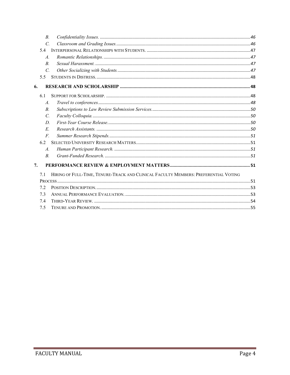| $B$ .           |                                                                                     |  |
|-----------------|-------------------------------------------------------------------------------------|--|
| $\mathcal{C}$ . |                                                                                     |  |
| 5.4             |                                                                                     |  |
| $\mathcal{A}$ . |                                                                                     |  |
| $B_{\cdot}$     |                                                                                     |  |
| $\overline{C}$  |                                                                                     |  |
| 5.5             |                                                                                     |  |
| 6.              |                                                                                     |  |
| 6.1             |                                                                                     |  |
| $\mathcal{A}$ . |                                                                                     |  |
| $B_{\cdot}$     |                                                                                     |  |
| $\mathcal{C}$ . |                                                                                     |  |
| D.              |                                                                                     |  |
| E.              |                                                                                     |  |
| $F_{\cdot}$     |                                                                                     |  |
| 6.2             |                                                                                     |  |
| $\mathcal{A}$ . |                                                                                     |  |
| $\overline{B}$  |                                                                                     |  |
| 7.              |                                                                                     |  |
| 7.1             | HIRING OF FULL-TIME, TENURE-TRACK AND CLINICAL FACULTY MEMBERS: PREFERENTIAL VOTING |  |
|                 |                                                                                     |  |
| 7.2             |                                                                                     |  |
| 7.3             |                                                                                     |  |
| 7.4             |                                                                                     |  |
| 7.5             |                                                                                     |  |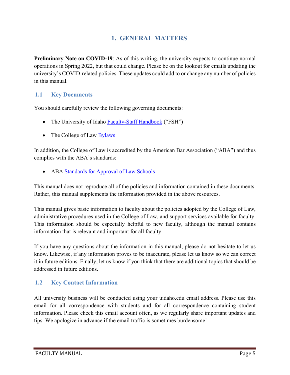# **1. GENERAL MATTERS**

<span id="page-5-0"></span>**Preliminary Note on COVID-19:** As of this writing, the university expects to continue normal operations in Spring 2022, but that could change. Please be on the lookout for emails updating the university's COVID-related policies. These updates could add to or change any number of policies in this manual.

## <span id="page-5-1"></span>**1.1 Key Documents**

You should carefully review the following governing documents:

- The University of Idaho [Faculty-Staff Handbook](https://www.uidaho.edu/governance/policy/policies/fsh) ("FSH")
- The College of Law [Bylaws](https://www.uidaho.edu/law/academics/academic-admin)

In addition, the College of Law is accredited by the American Bar Association ("ABA") and thus complies with the ABA's standards:

• ABA [Standards for Approval of Law Schools](https://www.americanbar.org/groups/legal_education/resources/standards/)

This manual does not reproduce all of the policies and information contained in these documents. Rather, this manual supplements the information provided in the above resources.

This manual gives basic information to faculty about the policies adopted by the College of Law, administrative procedures used in the College of Law, and support services available for faculty. This information should be especially helpful to new faculty, although the manual contains information that is relevant and important for all faculty.

If you have any questions about the information in this manual, please do not hesitate to let us know. Likewise, if any information proves to be inaccurate, please let us know so we can correct it in future editions. Finally, let us know if you think that there are additional topics that should be addressed in future editions.

## <span id="page-5-2"></span>**1.2 Key Contact Information**

All university business will be conducted using your uidaho.edu email address. Please use this email for all correspondence with students and for all correspondence containing student information. Please check this email account often, as we regularly share important updates and tips. We apologize in advance if the email traffic is sometimes burdensome!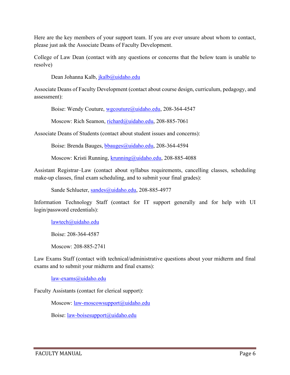Here are the key members of your support team. If you are ever unsure about whom to contact, please just ask the Associate Deans of Faculty Development.

College of Law Dean (contact with any questions or concerns that the below team is unable to resolve)

Dean Johanna Kalb, [jkalb@uidaho.edu](mailto:jkalb@uidaho.edu)

Associate Deans of Faculty Development (contact about course design, curriculum, pedagogy, and assessment):

Boise: Wendy Couture, [wgcouture@uidaho.edu,](mailto:wgcouture@uidaho.edu) 208-364-4547

Moscow: Rich Seamon, [richard@uidaho.edu,](mailto:richard@uidaho.edu) 208-885-7061

Associate Deans of Students (contact about student issues and concerns):

Boise: Brenda Bauges, [bbauges@uidaho.edu,](mailto:bbauges@uidaho.edu) 208-364-4594

Moscow: Kristi Running, [krunning@uidaho.edu,](mailto:krunning@uidaho.edu) 208-885-4088

Assistant Registrar–Law (contact about syllabus requirements, cancelling classes, scheduling make-up classes, final exam scheduling, and to submit your final grades):

Sande Schlueter, [sandes@uidaho.edu,](mailto:sandes@uidaho.edu) 208-885-4977

Information Technology Staff (contact for IT support generally and for help with UI login/password credentials):

[lawtech@uidaho.edu](mailto:lawtech@uidaho.edu)

Boise: 208-364-4587

Moscow: 208-885-2741

Law Exams Staff (contact with technical/administrative questions about your midterm and final exams and to submit your midterm and final exams):

[law-exams@uidaho.edu](mailto:law-exams@uidaho.edu)

Faculty Assistants (contact for clerical support):

Moscow: [law-moscowsupport@uidaho.edu](mailto:law-moscowsupport@uidaho.edu)

Boise: [law-boisesupport@uidaho.edu](mailto:law-boisesupport@uidaho.edu)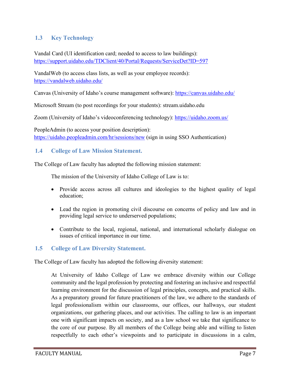## <span id="page-7-0"></span>**1.3 Key Technology**

Vandal Card (UI identification card; needed to access to law buildings): <https://support.uidaho.edu/TDClient/40/Portal/Requests/ServiceDet?ID=597>

VandalWeb (to access class lists, as well as your employee records): <https://vandalweb.uidaho.edu/>

Canvas (University of Idaho's course management software): <https://canvas.uidaho.edu/>

Microsoft Stream (to post recordings for your students): stream.uidaho.edu

Zoom (University of Idaho's videoconferencing technology):<https://uidaho.zoom.us/>

PeopleAdmin (to access your position description): <https://uidaho.peopleadmin.com/hr/sessions/new> (sign in using SSO Authentication)

#### <span id="page-7-1"></span>**1.4 College of Law Mission Statement.**

The College of Law faculty has adopted the following mission statement:

The mission of the University of Idaho College of Law is to:

- Provide access across all cultures and ideologies to the highest quality of legal education;
- Lead the region in promoting civil discourse on concerns of policy and law and in providing legal service to underserved populations;
- Contribute to the local, regional, national, and international scholarly dialogue on issues of critical importance in our time.

#### <span id="page-7-2"></span>**1.5 College of Law Diversity Statement.**

The College of Law faculty has adopted the following diversity statement:

At University of Idaho College of Law we embrace diversity within our College community and the legal profession by protecting and fostering an inclusive and respectful learning environment for the discussion of legal principles, concepts, and practical skills. As a preparatory ground for future practitioners of the law, we adhere to the standards of legal professionalism within our classrooms, our offices, our hallways, our student organizations, our gathering places, and our activities. The calling to law is an important one with significant impacts on society, and as a law school we take that significance to the core of our purpose. By all members of the College being able and willing to listen respectfully to each other's viewpoints and to participate in discussions in a calm,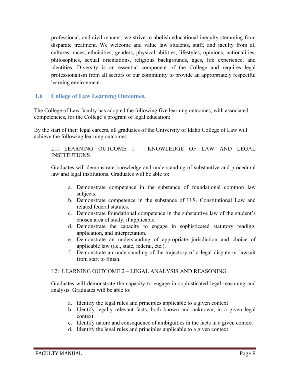professional, and civil manner, we strive to abolish educational inequity stemming from disparate treatment. We welcome and value law students, staff, and faculty from all cultures, races, ethnicities, genders, physical abilities, lifestyles, opinions, nationalities, philosophies, sexual orientations, religious backgrounds, ages, life experience, and identities. Diversity is an essential component of the College and requires legal professionalism from all sectors of our community to provide an appropriately respectful learning environment.

#### <span id="page-8-0"></span>**1.6 College of Law Learning Outcomes.**

The College of Law faculty has adopted the following five learning outcomes, with associated competencies, for the College's program of legal education:

By the start of their legal careers, all graduates of the University of Idaho College of Law will achieve the following learning outcomes:

L1: LEARNING OUTCOME 1 – KNOWLEDGE OF LAW AND LEGAL **INSTITUTIONS** 

Graduates will demonstrate knowledge and understanding of substantive and procedural law and legal institutions. Graduates will be able to:

- a. Demonstrate competence in the substance of foundational common law subjects.
- b. Demonstrate competence in the substance of U.S. Constitutional Law and related federal statutes.
- c. Demonstrate foundational competence in the substantive law of the student's chosen area of study, if applicable.
- d. Demonstrate the capacity to engage in sophisticated statutory reading, application, and interpretation.
- e. Demonstrate an understanding of appropriate jurisdiction and choice of applicable law (i.e., state, federal, etc.).
- f. Demonstrate an understanding of the trajectory of a legal dispute or lawsuit from start to finish.

#### L2: LEARNING OUTCOME 2 – LEGAL ANALYSIS AND REASONING

Graduates will demonstrate the capacity to engage in sophisticated legal reasoning and analysis. Graduates will be able to:

- a. Identify the legal rules and principles applicable to a given context
- b. Identify legally relevant facts, both known and unknown, in a given legal context
- c. Identify nature and consequence of ambiguities in the facts in a given context
- d. Identify the legal rules and principles applicable to a given context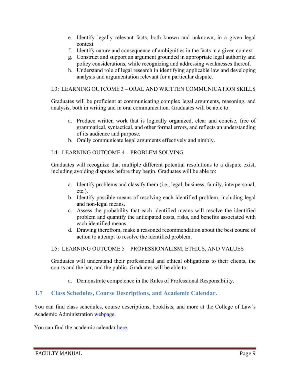- e. Identify legally relevant facts, both known and unknown, in a given legal context
- f. Identify nature and consequence of ambiguities in the facts in a given context
- g. Construct and support an argument grounded in appropriate legal authority and policy considerations, while recognizing and addressing weaknesses thereof.
- h. Understand role of legal research in identifying applicable law and developing analysis and argumentation relevant for a particular dispute.

#### L3: LEARNING OUTCOME 3 – ORAL AND WRITTEN COMMUNICATION SKILLS

Graduates will be proficient at communicating complex legal arguments, reasoning, and analysis, both in writing and in oral communication. Graduates will be able to:

- a. Produce written work that is logically organized, clear and concise, free of grammatical, syntactical, and other formal errors, and reflects an understanding of its audience and purpose.
- b. Orally communicate legal arguments effectively and nimbly.

#### L4: LEARNING OUTCOME 4 – PROBLEM SOLVING

Graduates will recognize that multiple different potential resolutions to a dispute exist, including avoiding disputes before they begin. Graduates will be able to:

- a. Identify problems and classify them (i.e., legal, business, family, interpersonal, etc.).
- b. Identify possible means of resolving each identified problem, including legal and non-legal means.
- c. Assess the probability that each identified means will resolve the identified problem and quantify the anticipated costs, risks, and benefits associated with each identified means.
- d. Drawing therefrom, make a reasoned recommendation about the best course of action to attempt to resolve the identified problem.

#### L5: LEARNING OUTCOME 5 – PROFESSIONALISM, ETHICS, AND VALUES

Graduates will understand their professional and ethical obligations to their clients, the courts and the bar, and the public. Graduates will be able to:

a. Demonstrate competence in the Rules of Professional Responsibility.

#### <span id="page-9-0"></span>**1.7 Class Schedules, Course Descriptions, and Academic Calendar.**

You can find class schedules, course descriptions, booklists, and more at the College of Law's Academic Administration [webpage.](https://www.uidaho.edu/law/academics/academic-admin)

You can find the academic calendar [here.](https://www.uidaho.edu/registrar/calendar)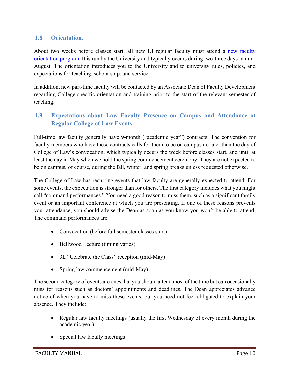## <span id="page-10-0"></span>**1.8 Orientation.**

About two weeks before classes start, all new UI regular faculty must attend a new faculty [orientation program.](https://www.uidaho.edu/provost/faculty/new-faculty-orientation) It is run by the University and typically occurs during two-three days in mid-August. The orientation introduces you to the University and to university rules, policies, and expectations for teaching, scholarship, and service.

In addition, new part-time faculty will be contacted by an Associate Dean of Faculty Development regarding College-specific orientation and training prior to the start of the relevant semester of teaching.

## <span id="page-10-1"></span>**1.9 Expectations about Law Faculty Presence on Campus and Attendance at Regular College of Law Events.**

Full-time law faculty generally have 9-month ("academic year") contracts. The convention for faculty members who have these contracts calls for them to be on campus no later than the day of College of Law's convocation, which typically occurs the week before classes start, and until at least the day in May when we hold the spring commencement ceremony. They are not expected to be on campus, of course, during the fall, winter, and spring breaks unless requested otherwise.

The College of Law has recurring events that law faculty are generally expected to attend. For some events, the expectation is stronger than for others. The first category includes what you might call "command performances." You need a good reason to miss them, such as a significant family event or an important conference at which you are presenting. If one of these reasons prevents your attendance, you should advise the Dean as soon as you know you won't be able to attend. The command performances are:

- Convocation (before fall semester classes start)
- Bellwood Lecture (timing varies)
- 3L "Celebrate the Class" reception (mid-May)
- Spring law commencement (mid-May)

The second category of events are ones that you should attend most of the time but can occasionally miss for reasons such as doctors' appointments and deadlines. The Dean appreciates advance notice of when you have to miss these events, but you need not feel obligated to explain your absence. They include:

- Regular law faculty meetings (usually the first Wednesday of every month during the academic year)
- Special law faculty meetings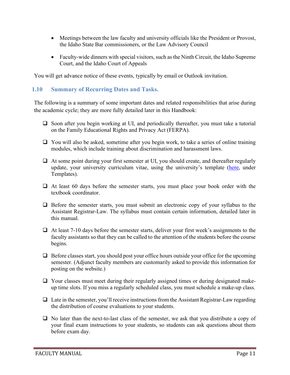- Meetings between the law faculty and university officials like the President or Provost, the Idaho State Bar commissioners, or the Law Advisory Council
- Faculty-wide dinners with special visitors, such as the Ninth Circuit, the Idaho Supreme Court, and the Idaho Court of Appeals

You will get advance notice of these events, typically by email or Outlook invitation.

#### <span id="page-11-0"></span>**1.10 Summary of Recurring Dates and Tasks.**

The following is a summary of some important dates and related responsibilities that arise during the academic cycle; they are more fully detailed later in this Handbook:

- $\Box$  Soon after you begin working at UI, and periodically thereafter, you must take a tutorial on the Family Educational Rights and Privacy Act (FERPA).
- $\Box$  You will also be asked, sometime after you begin work, to take a series of online training modules, which include training about discrimination and harassment laws.
- At some point during your first semester at UI, you should create, and thereafter regularly update, your university curriculum vitae, using the university's template [\(here,](https://www.uidaho.edu/provost/faculty/tenure) under Templates).
- $\Box$  At least 60 days before the semester starts, you must place your book order with the textbook coordinator.
- $\Box$  Before the semester starts, you must submit an electronic copy of your syllabus to the Assistant Registrar-Law. The syllabus must contain certain information, detailed later in this manual.
- $\Box$  At least 7-10 days before the semester starts, deliver your first week's assignments to the faculty assistants so that they can be called to the attention of the students before the course begins.
- $\Box$  Before classes start, you should post your office hours outside your office for the upcoming semester. (Adjunct faculty members are customarily asked to provide this information for posting on the website.)
- $\Box$  Your classes must meet during their regularly assigned times or during designated makeup time slots. If you miss a regularly scheduled class, you must schedule a make-up class.
- $\Box$  Late in the semester, you'll receive instructions from the Assistant Registrar-Law regarding the distribution of course evaluations to your students.
- $\Box$  No later than the next-to-last class of the semester, we ask that you distribute a copy of your final exam instructions to your students, so students can ask questions about them before exam day.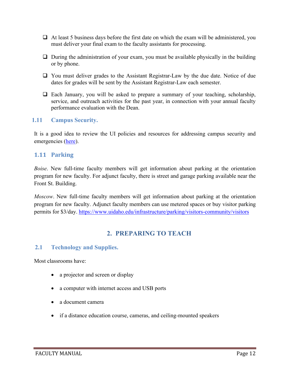- $\Box$  At least 5 business days before the first date on which the exam will be administered, you must deliver your final exam to the faculty assistants for processing.
- $\Box$  During the administration of your exam, you must be available physically in the building or by phone.
- You must deliver grades to the Assistant Registrar-Law by the due date. Notice of due dates for grades will be sent by the Assistant Registrar-Law each semester.
- $\Box$  Each January, you will be asked to prepare a summary of your teaching, scholarship, service, and outreach activities for the past year, in connection with your annual faculty performance evaluation with the Dean.

#### <span id="page-12-0"></span>**1.11 Campus Security.**

It is a good idea to review the UI policies and resources for addressing campus security and emergencies [\(here\)](http://www.uidaho.edu/infrastructure/pss/about).

#### <span id="page-12-1"></span>**1.11 Parking**

*Boise*. New full-time faculty members will get information about parking at the orientation program for new faculty. For adjunct faculty, there is street and garage parking available near the Front St. Building.

*Moscow*. New full-time faculty members will get information about parking at the orientation program for new faculty. Adjunct faculty members can use metered spaces or buy visitor parking permits for \$3/day.<https://www.uidaho.edu/infrastructure/parking/visitors-community/visitors>

# **2. PREPARING TO TEACH**

#### <span id="page-12-3"></span><span id="page-12-2"></span>**2.1 Technology and Supplies.**

Most classrooms have:

- a projector and screen or display
- a computer with internet access and USB ports
- a document camera
- if a distance education course, cameras, and ceiling-mounted speakers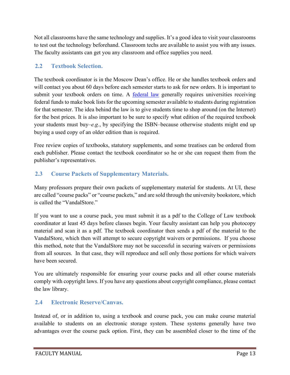Not all classrooms have the same technology and supplies. It's a good idea to visit your classrooms to test out the technology beforehand. Classroom techs are available to assist you with any issues. The faculty assistants can get you any classroom and office supplies you need.

## <span id="page-13-0"></span>**2.2 Textbook Selection.**

The textbook coordinator is in the Moscow Dean's office. He or she handles textbook orders and will contact you about 60 days before each semester starts to ask for new orders. It is important to submit your textbook orders on time. A [federal law](https://www.law.cornell.edu/uscode/text/20/1015b) generally requires universities receiving federal funds to make book lists for the upcoming semester available to students during registration for that semester. The idea behind the law is to give students time to shop around (on the Internet) for the best prices. It is also important to be sure to specify what edition of the required textbook your students must buy–*e.g.*, by specifying the ISBN–because otherwise students might end up buying a used copy of an older edition than is required.

Free review copies of textbooks, statutory supplements, and some treatises can be ordered from each publisher. Please contact the textbook coordinator so he or she can request them from the publisher's representatives.

# <span id="page-13-1"></span>**2.3 Course Packets of Supplementary Materials.**

Many professors prepare their own packets of supplementary material for students. At UI, these are called "course packs" or "course packets," and are sold through the university bookstore, which is called the "VandalStore."

If you want to use a course pack, you must submit it as a pdf to the College of Law textbook coordinator at least 45 days before classes begin. Your faculty assistant can help you photocopy material and scan it as a pdf. The textbook coordinator then sends a pdf of the material to the VandalStore, which then will attempt to secure copyright waivers or permissions. If you choose this method, note that the VandalStore may not be successful in securing waivers or permissions from all sources. In that case, they will reproduce and sell only those portions for which waivers have been secured.

You are ultimately responsible for ensuring your course packs and all other course materials comply with copyright laws. If you have any questions about copyright compliance, please contact the law library.

## <span id="page-13-2"></span>**2.4 Electronic Reserve/Canvas.**

Instead of, or in addition to, using a textbook and course pack, you can make course material available to students on an electronic storage system. These systems generally have two advantages over the course pack option. First, they can be assembled closer to the time of the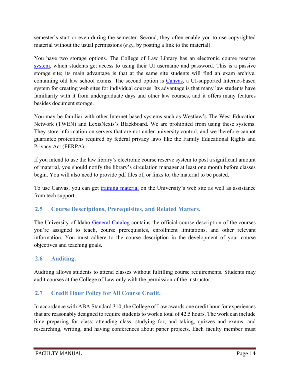semester's start or even during the semester. Second, they often enable you to use copyrighted material without the usual permissions (*e.g.*, by posting a link to the material).

You have two storage options. The College of Law Library has an electronic course reserve [system,](http://www.uidaho.edu/law/library/course-reserves) which students get access to using their UI username and password. This is a passive storage site; its main advantage is that at the same site students will find an exam archive, containing old law school exams. The second option is [Canvas,](https://canvas.uidaho.edu/) a UI-supported Internet-based system for creating web sites for individual courses. Its advantage is that many law students have familiarity with it from undergraduate days and other law courses, and it offers many features besides document storage.

You may be familiar with other Internet-based systems such as Westlaw's The West Education Network (TWEN) and LexisNexis's Blackboard. We are prohibited from using these systems. They store information on servers that are not under university control, and we therefore cannot guarantee protections required by federal privacy laws like the Family Educational Rights and Privacy Act (FERPA).

If you intend to use the law library's electronic course reserve system to post a significant amount of material, you should notify the library's circulation manager at least one month before classes begin. You will also need to provide pdf files of, or links to, the material to be posted.

To use Canvas, you can get [training material](https://www.webpages.uidaho.edu/cetl/canvas-transition.asp) on the University's web site as well as assistance from tech support.

## <span id="page-14-0"></span>**2.5 Course Descriptions, Prerequisites, and Related Matters.**

The University of Idaho [General Catalog](https://www.uidaho.edu/registrar/classes/catalogs) contains the official course description of the courses you're assigned to teach, course prerequisites, enrollment limitations, and other relevant information. You must adhere to the course description in the development of your course objectives and teaching goals.

# <span id="page-14-1"></span>**2.6 Auditing.**

Auditing allows students to attend classes without fulfilling course requirements. Students may audit courses at the College of Law only with the permission of the instructor.

# <span id="page-14-2"></span>**2.7 Credit Hour Policy for All Course Credit.**

In accordance with ABA Standard 310, the College of Law awards one credit hour for experiences that are reasonably designed to require students to work a total of 42.5 hours. The work can include time preparing for class; attending class; studying for, and taking, quizzes and exams; and researching, writing, and having conferences about paper projects. Each faculty member must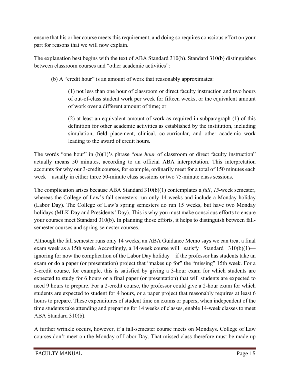ensure that his or her course meets this requirement, and doing so requires conscious effort on your part for reasons that we will now explain.

The explanation best begins with the text of ABA Standard 310(b). Standard 310(b) distinguishes between classroom courses and "other academic activities":

(b) A "credit hour" is an amount of work that reasonably approximates:

(1) not less than one hour of classroom or direct faculty instruction and two hours of out-of-class student work per week for fifteen weeks, or the equivalent amount of work over a different amount of time; or

(2) at least an equivalent amount of work as required in subparagraph (1) of this definition for other academic activities as established by the institution, including simulation, field placement, clinical, co-curricular, and other academic work leading to the award of credit hours.

The words "one hour" in (b)(1)'s phrase "*one hour* of classroom or direct faculty instruction" actually means 50 minutes, according to an official ABA interpretation. This interpretation accounts for why our 3-credit courses, for example, ordinarily meet for a total of 150 minutes each week—usually in either three 50-minute class sessions or two 75-minute class sessions.

The complication arises because ABA Standard 310(b)(1) contemplates a *full*, *15*-week semester, whereas the College of Law's fall semesters run only 14 weeks and include a Monday holiday (Labor Day). The College of Law's spring semesters do run 15 weeks, but have two Monday holidays (MLK Day and Presidents' Day). This is why you must make conscious efforts to ensure your courses meet Standard 310(b). In planning those efforts, it helps to distinguish between fallsemester courses and spring-semester courses.

Although the fall semester runs only 14 weeks, an ABA Guidance Memo says we can treat a final exam week as a 15th week. Accordingly, a 14-week course will satisfy Standard 310(b)(1) ignoring for now the complication of the Labor Day holiday—if the professor has students take an exam or do a paper (or presentation) project that "makes up for" the "missing" 15th week. For a 3-credit course, for example, this is satisfied by giving a 3-hour exam for which students are expected to study for 6 hours or a final paper (or presentation) that will students are expected to need 9 hours to prepare. For a 2-credit course, the professor could give a 2-hour exam for which students are expected to student for 4 hours, or a paper project that reasonably requires at least 6 hours to prepare. These expenditures of student time on exams or papers, when independent of the time students take attending and preparing for 14 weeks of classes, enable 14-week classes to meet ABA Standard 310(b).

A further wrinkle occurs, however, if a fall-semester course meets on Mondays. College of Law courses don't meet on the Monday of Labor Day. That missed class therefore must be made up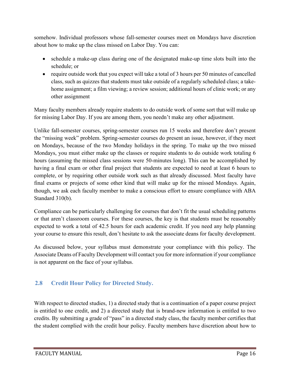somehow. Individual professors whose fall-semester courses meet on Mondays have discretion about how to make up the class missed on Labor Day. You can:

- schedule a make-up class during one of the designated make-up time slots built into the schedule; or
- require outside work that you expect will take a total of 3 hours per 50 minutes of cancelled class, such as quizzes that students must take outside of a regularly scheduled class; a takehome assignment; a film viewing; a review session; additional hours of clinic work; or any other assignment

Many faculty members already require students to do outside work of some sort that will make up for missing Labor Day. If you are among them, you needn't make any other adjustment.

Unlike fall-semester courses, spring-semester courses run 15 weeks and therefore don't present the "missing week" problem. Spring-semester courses do present an issue, however, if they meet on Mondays, because of the two Monday holidays in the spring. To make up the two missed Mondays, you must either make up the classes or require students to do outside work totaling 6 hours (assuming the missed class sessions were 50-minutes long). This can be accomplished by having a final exam or other final project that students are expected to need at least 6 hours to complete, or by requiring other outside work such as that already discussed. Most faculty have final exams or projects of some other kind that will make up for the missed Mondays. Again, though, we ask each faculty member to make a conscious effort to ensure compliance with ABA Standard 310(b).

Compliance can be particularly challenging for courses that don't fit the usual scheduling patterns or that aren't classroom courses. For these courses, the key is that students must be reasonably expected to work a total of 42.5 hours for each academic credit. If you need any help planning your course to ensure this result, don't hesitate to ask the associate deans for faculty development.

As discussed below, your syllabus must demonstrate your compliance with this policy. The Associate Deans of Faculty Development will contact you for more information if your compliance is not apparent on the face of your syllabus.

# <span id="page-16-0"></span>**2.8 Credit Hour Policy for Directed Study.**

With respect to directed studies, 1) a directed study that is a continuation of a paper course project is entitled to one credit, and 2) a directed study that is brand-new information is entitled to two credits. By submitting a grade of "pass" in a directed study class, the faculty member certifies that the student complied with the credit hour policy. Faculty members have discretion about how to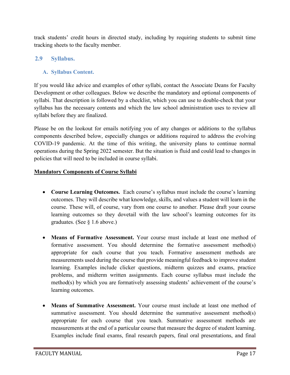track students' credit hours in directed study, including by requiring students to submit time tracking sheets to the faculty member.

## <span id="page-17-1"></span><span id="page-17-0"></span>**2.9 Syllabus.**

#### **A. Syllabus Content.**

If you would like advice and examples of other syllabi, contact the Associate Deans for Faculty Development or other colleagues. Below we describe the mandatory and optional components of syllabi. That description is followed by a checklist, which you can use to double-check that your syllabus has the necessary contents and which the law school administration uses to review all syllabi before they are finalized.

Please be on the lookout for emails notifying you of any changes or additions to the syllabus components described below, especially changes or additions required to address the evolving COVID-19 pandemic. At the time of this writing, the university plans to continue normal operations during the Spring 2022 semester. But the situation is fluid and could lead to changes in policies that will need to be included in course syllabi.

#### **Mandatory Components of Course Syllabi**

- **Course Learning Outcomes.** Each course's syllabus must include the course's learning outcomes. They will describe what knowledge, skills, and values a student will learn in the course. These will, of course, vary from one course to another. Please draft your course learning outcomes so they dovetail with the law school's learning outcomes for its graduates. (See § 1.6 above.)
- **Means of Formative Assessment.** Your course must include at least one method of formative assessment. You should determine the formative assessment method(s) appropriate for each course that you teach. Formative assessment methods are measurements used during the course that provide meaningful feedback to improve student learning. Examples include clicker questions, midterm quizzes and exams, practice problems, and midterm written assignments. Each course syllabus must include the method(s) by which you are formatively assessing students' achievement of the course's learning outcomes.
- **Means of Summative Assessment.** Your course must include at least one method of summative assessment. You should determine the summative assessment method(s) appropriate for each course that you teach. Summative assessment methods are measurements at the end of a particular course that measure the degree of student learning. Examples include final exams, final research papers, final oral presentations, and final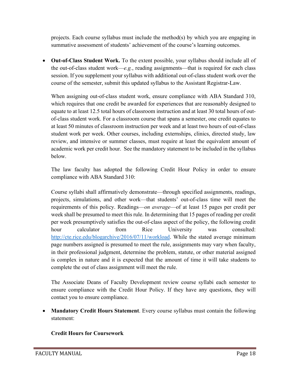projects. Each course syllabus must include the method(s) by which you are engaging in summative assessment of students' achievement of the course's learning outcomes.

• **Out-of-Class Student Work.** To the extent possible, your syllabus should include all of the out-of-class student work—*e.g.*, reading assignments—that is required for each class session. If you supplement your syllabus with additional out-of-class student work over the course of the semester, submit this updated syllabus to the Assistant Registrar-Law.

When assigning out-of-class student work, ensure compliance with ABA Standard 310, which requires that one credit be awarded for experiences that are reasonably designed to equate to at least 12.5 total hours of classroom instruction and at least 30 total hours of outof-class student work. For a classroom course that spans a semester, one credit equates to at least 50 minutes of classroom instruction per week and at least two hours of out-of-class student work per week. Other courses, including externships, clinics, directed study, law review, and intensive or summer classes, must require at least the equivalent amount of academic work per credit hour. See the mandatory statement to be included in the syllabus below.

The law faculty has adopted the following Credit Hour Policy in order to ensure compliance with ABA Standard 310:

Course syllabi shall affirmatively demonstrate—through specified assignments, readings, projects, simulations, and other work—that students' out-of-class time will meet the requirements of this policy. Readings—*on average*—of at least 15 pages per credit per week shall be presumed to meet this rule. In determining that 15 pages of reading per credit per week presumptively satisfies the out-of-class aspect of the policy, the following credit hour calculator from Rice University was consulted: [http://cte.rice.edu/blogarchive/2016/07/11/workload.](http://cte.rice.edu/blogarchive/2016/07/11/workload) While the stated average minimum page numbers assigned is presumed to meet the rule, assignments may vary when faculty, in their professional judgment, determine the problem, statute, or other material assigned is complex in nature and it is expected that the amount of time it will take students to complete the out of class assignment will meet the rule.

The Associate Deans of Faculty Development review course syllabi each semester to ensure compliance with the Credit Hour Policy. If they have any questions, they will contact you to ensure compliance.

• **Mandatory Credit Hours Statement**. Every course syllabus must contain the following statement:

## **Credit Hours for Coursework**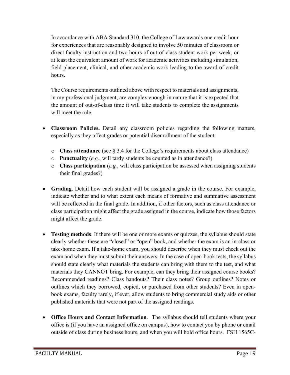In accordance with ABA Standard 310, the College of Law awards one credit hour for experiences that are reasonably designed to involve 50 minutes of classroom or direct faculty instruction and two hours of out-of-class student work per week, or at least the equivalent amount of work for academic activities including simulation, field placement, clinical, and other academic work leading to the award of credit hours.

The Course requirements outlined above with respect to materials and assignments, in my professional judgment, are complex enough in nature that it is expected that the amount of out-of-class time it will take students to complete the assignments will meet the rule.

- **Classroom Policies.** Detail any classroom policies regarding the following matters, especially as they affect grades or potential disenrollment of the student:
	- o **Class attendance** (see § 3.4 for the College's requirements about class attendance)
	- o **Punctuality** (*e.g.*, will tardy students be counted as in attendance?)
	- o **Class participation** (*e.g.*, will class participation be assessed when assigning students their final grades?)
- **Grading**. Detail how each student will be assigned a grade in the course. For example, indicate whether and to what extent each means of formative and summative assessment will be reflected in the final grade. In addition, if other factors, such as class attendance or class participation might affect the grade assigned in the course, indicate how those factors might affect the grade.
- **Testing methods**. If there will be one or more exams or quizzes, the syllabus should state clearly whether these are "closed" or "open" book, and whether the exam is an in-class or take-home exam. If a take-home exam, you should describe when they must check out the exam and when they must submit their answers. In the case of open-book tests, the syllabus should state clearly what materials the students can bring with them to the test, and what materials they CANNOT bring. For example, can they bring their assigned course books? Recommended readings? Class handouts? Their class notes? Group outlines? Notes or outlines which they borrowed, copied, or purchased from other students? Even in openbook exams, faculty rarely, if ever, allow students to bring commercial study aids or other published materials that were not part of the assigned readings.
- **Office Hours and Contact Information**. The syllabus should tell students where your office is (if you have an assigned office on campus), how to contact you by phone or email outside of class during business hours, and when you will hold office hours. FSH 1565C-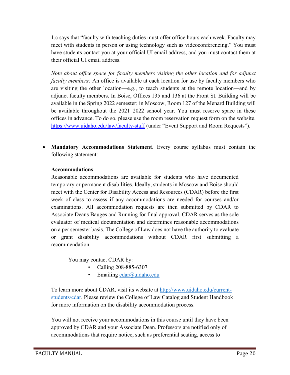1.c says that "faculty with teaching duties must offer office hours each week. Faculty may meet with students in person or using technology such as videoconferencing." You must have students contact you at your official UI email address, and you must contact them at their official UI email address.

*Note about office space for faculty members visiting the other location and for adjunct faculty members:* An office is available at each location for use by faculty members who are visiting the other location—e.g., to teach students at the remote location—and by adjunct faculty members. In Boise, Offices 135 and 136 at the Front St. Building will be available in the Spring 2022 semester; in Moscow, Room 127 of the Menard Building will be available throughout the 2021–2022 school year. You must reserve space in these offices in advance. To do so, please use the room reservation request form on the website. <https://www.uidaho.edu/law/faculty-staff> (under "Event Support and Room Requests").

• **Mandatory Accommodations Statement**. Every course syllabus must contain the following statement:

#### **Accommodations**

Reasonable accommodations are available for students who have documented temporary or permanent disabilities. Ideally, students in Moscow and Boise should meet with the Center for Disability Access and Resources (CDAR) before the first week of class to assess if any accommodations are needed for courses and/or examinations. All accommodation requests are then submitted by CDAR to Associate Deans Bauges and Running for final approval. CDAR serves as the sole evaluator of medical documentation and determines reasonable accommodations on a per semester basis. The College of Law does not have the authority to evaluate or grant disability accommodations without CDAR first submitting a recommendation.

You may contact CDAR by:

- Calling 208-885-6307
- Emailing [cdar@uidaho.edu](mailto:cdar@uidaho.edu)

To learn more about CDAR, visit its website at [http://www.uidaho.edu/current](http://www.uidaho.edu/current-students/cdar)[students/cdar.](http://www.uidaho.edu/current-students/cdar) Please review the College of Law Catalog and Student Handbook for more information on the disability accommodation process.

You will not receive your accommodations in this course until they have been approved by CDAR and your Associate Dean. Professors are notified only of accommodations that require notice, such as preferential seating, access to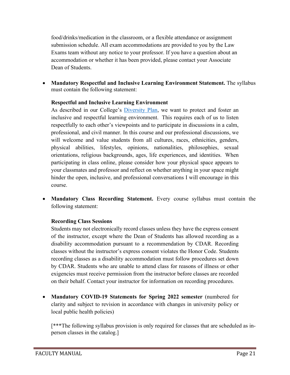food/drinks/medication in the classroom, or a flexible attendance or assignment submission schedule. All exam accommodations are provided to you by the Law Exams team without any notice to your professor. If you have a question about an accommodation or whether it has been provided, please contact your Associate Dean of Students.

• **Mandatory Respectful and Inclusive Learning Environment Statement.** The syllabus must contain the following statement:

#### **Respectful and Inclusive Learning Environment**

As described in our College's [Diversity Plan,](https://www.uidaho.edu/-/media/UIdaho-Responsive/Files/law/about/diversity/ui-law-diversity-plan.pdf) we want to protect and foster an inclusive and respectful learning environment. This requires each of us to listen respectfully to each other's viewpoints and to participate in discussions in a calm, professional, and civil manner. In this course and our professional discussions, we will welcome and value students from all cultures, races, ethnicities, genders, physical abilities, lifestyles, opinions, nationalities, philosophies, sexual orientations, religious backgrounds, ages, life experiences, and identities. When participating in class online, please consider how your physical space appears to your classmates and professor and reflect on whether anything in your space might hinder the open, inclusive, and professional conversations I will encourage in this course.

• **Mandatory Class Recording Statement.** Every course syllabus must contain the following statement:

#### **Recording Class Sessions**

Students may not electronically record classes unless they have the express consent of the instructor, except where the Dean of Students has allowed recording as a disability accommodation pursuant to a recommendation by CDAR. Recording classes without the instructor's express consent violates the Honor Code. Students recording classes as a disability accommodation must follow procedures set down by CDAR. Students who are unable to attend class for reasons of illness or other exigencies must receive permission from the instructor before classes are recorded on their behalf. Contact your instructor for information on recording procedures.

• **Mandatory COVID-19 Statements for Spring 2022 semester** (numbered for clarity and subject to revision in accordance with changes in university policy or local public health policies)

[\*\*\*The following syllabus provision is only required for classes that are scheduled as inperson classes in the catalog.]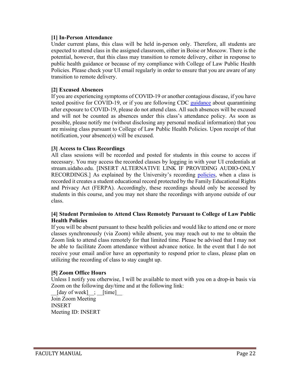#### **[1] In-Person Attendance**

Under current plans, this class will be held in-person only. Therefore, all students are expected to attend class in the assigned classroom, either in Boise or Moscow. There is the potential, however, that this class may transition to remote delivery, either in response to public health guidance or because of my compliance with College of Law Public Health Policies. Please check your UI email regularly in order to ensure that you are aware of any transition to remote delivery.

#### **[2] Excused Absences**

If you are experiencing symptoms of COVID-19 or another contagious disease, if you have tested positive for COVID-19, or if you are following CDC [guidance](https://www.cdc.gov/coronavirus/2019-ncov/if-you-are-sick/quarantine.html) about quarantining after exposure to COVID-19, please do not attend class. All such absences will be excused and will not be counted as absences under this class's attendance policy. As soon as possible, please notify me (without disclosing any personal medical information) that you are missing class pursuant to College of Law Public Health Policies. Upon receipt of that notification, your absence(s) will be excused.

#### **[3] Access to Class Recordings**

All class sessions will be recorded and posted for students in this course to access if necessary. You may access the recorded classes by logging in with your UI credentials at stream.uidaho.edu. [INSERT ALTERNATIVE LINK IF PROVIDING AUDIO-ONLY RECORDINGS.] As explained by the University's recording [policies,](https://www.uidaho.edu/registrar/faculty/ferpa/recording-classes) when a class is recorded it creates a student educational record protected by the Family Educational Rights and Privacy Act (FERPA). Accordingly, these recordings should only be accessed by students in this course, and you may not share the recordings with anyone outside of our class.

#### **[4] Student Permission to Attend Class Remotely Pursuant to College of Law Public Health Policies**

If you will be absent pursuant to these health policies and would like to attend one or more classes synchronously (via Zoom) while absent, you may reach out to me to obtain the Zoom link to attend class remotely for that limited time. Please be advised that I may not be able to facilitate Zoom attendance without advance notice. In the event that I do not receive your email and/or have an opportunity to respond prior to class, please plan on utilizing the recording of class to stay caught up.

#### **[5] Zoom Office Hours**

Unless I notify you otherwise, I will be available to meet with you on a drop-in basis via Zoom on the following day/time and at the following link:

 $[day of week]$  ;  $[time]$ Join Zoom Meeting INSERT Meeting ID: INSERT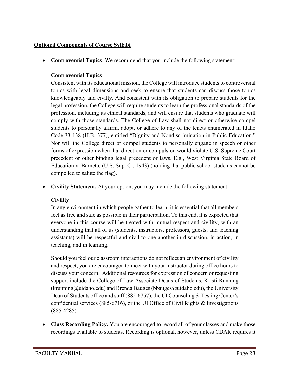#### **Optional Components of Course Syllabi**

• **Controversial Topics**. We recommend that you include the following statement:

#### **Controversial Topics**

Consistent with its educational mission, the College will introduce students to controversial topics with legal dimensions and seek to ensure that students can discuss those topics knowledgeably and civilly. And consistent with its obligation to prepare students for the legal profession, the College will require students to learn the professional standards of the profession, including its ethical standards, and will ensure that students who graduate will comply with those standards. The College of Law shall not direct or otherwise compel students to personally affirm, adopt, or adhere to any of the tenets enumerated in Idaho Code 33-138 (H.B. 377), entitled "Dignity and Nondiscrimination in Public Education." Nor will the College direct or compel students to personally engage in speech or other forms of expression when that direction or compulsion would violate U.S. Supreme Court precedent or other binding legal precedent or laws. E.g., West Virginia State Board of Education v. Barnette (U.S. Sup. Ct. 1943) (holding that public school students cannot be compelled to salute the flag).

• **Civility Statement.** At your option, you may include the following statement:

#### **Civility**

In any environment in which people gather to learn, it is essential that all members feel as free and safe as possible in their participation. To this end, it is expected that everyone in this course will be treated with mutual respect and civility, with an understanding that all of us (students, instructors, professors, guests, and teaching assistants) will be respectful and civil to one another in discussion, in action, in teaching, and in learning.

Should you feel our classroom interactions do not reflect an environment of civility and respect, you are encouraged to meet with your instructor during office hours to discuss your concern. Additional resources for expression of concern or requesting support include the College of Law Associate Deans of Students, Kristi Running (krunning@uidaho.edu) and Brenda Bauges (bbauges@uidaho.edu), the University Dean of Students office and staff (885-6757), the UI Counseling & Testing Center's confidential services (885-6716), or the UI Office of Civil Rights & Investigations (885-4285).

• **Class Recording Policy.** You are encouraged to record all of your classes and make those recordings available to students. Recording is optional, however, unless CDAR requires it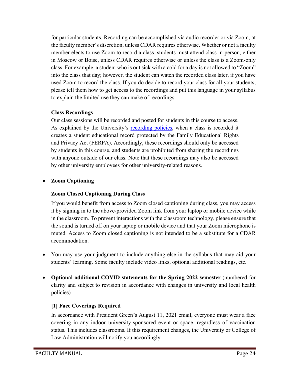for particular students. Recording can be accomplished via audio recorder or via Zoom, at the faculty member's discretion, unless CDAR requires otherwise. Whether or not a faculty member elects to use Zoom to record a class, students must attend class in-person, either in Moscow or Boise, unless CDAR requires otherwise or unless the class is a Zoom-only class. For example, a student who is out sick with a cold for a day is not allowed to "Zoom" into the class that day; however, the student can watch the recorded class later, if you have used Zoom to record the class. If you do decide to record your class for all your students, please tell them how to get access to the recordings and put this language in your syllabus to explain the limited use they can make of recordings:

#### **Class Recordings**

Our class sessions will be recorded and posted for students in this course to access. As explained by the University's [recording policies,](https://www.uidaho.edu/registrar/faculty/ferpa/recording-classes) when a class is recorded it creates a student educational record protected by the Family Educational Rights and Privacy Act (FERPA). Accordingly, these recordings should only be accessed by students in this course, and students are prohibited from sharing the recordings with anyone outside of our class. Note that these recordings may also be accessed by other university employees for other university-related reasons.

## • **Zoom Captioning**

## **Zoom Closed Captioning During Class**

If you would benefit from access to Zoom closed captioning during class, you may access it by signing in to the above-provided Zoom link from your laptop or mobile device while in the classroom. To prevent interactions with the classroom technology, please ensure that the sound is turned off on your laptop or mobile device and that your Zoom microphone is muted. Access to Zoom closed captioning is not intended to be a substitute for a CDAR accommodation.

- You may use your judgment to include anything else in the syllabus that may aid your students' learning. Some faculty include video links, optional additional readings, etc.
- **Optional additional COVID statements for the Spring 2022 semester** (numbered for clarity and subject to revision in accordance with changes in university and local health policies)

## **[1] Face Coverings Required**

In accordance with President Green's August 11, 2021 email, everyone must wear a face covering in any indoor university-sponsored event or space, regardless of vaccination status. This includes classrooms. If this requirement changes, the University or College of Law Administration will notify you accordingly.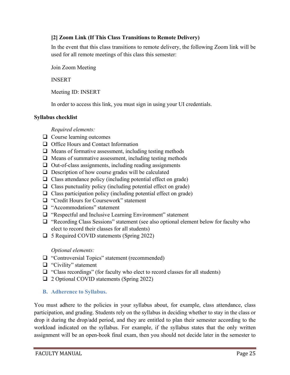#### **[2] Zoom Link (If This Class Transitions to Remote Delivery)**

In the event that this class transitions to remote delivery, the following Zoom link will be used for all remote meetings of this class this semester:

Join Zoom Meeting

INSERT

Meeting ID: INSERT

In order to access this link, you must sign in using your UI credentials.

#### **Syllabus checklist**

*Required elements:*

- $\Box$  Course learning outcomes
- $\Box$  Office Hours and Contact Information
- $\Box$  Means of formative assessment, including testing methods
- $\Box$  Means of summative assessment, including testing methods
- $\Box$  Out-of-class assignments, including reading assignments
- $\Box$  Description of how course grades will be calculated
- $\Box$  Class attendance policy (including potential effect on grade)
- $\Box$  Class punctuality policy (including potential effect on grade)
- $\Box$  Class participation policy (including potential effect on grade)
- □ "Credit Hours for Coursework" statement
- $\Box$  "Accommodations" statement
- "Respectful and Inclusive Learning Environment" statement
- $\Box$  "Recording Class Sessions" statement (see also optional element below for faculty who elect to record their classes for all students)
- □ 5 Required COVID statements (Spring 2022)

*Optional elements:*

- □ "Controversial Topics" statement (recommended)
- □ "Civility" statement
- $\Box$  "Class recordings" (for faculty who elect to record classes for all students)
- □ 2 Optional COVID statements (Spring 2022)

#### <span id="page-25-0"></span>**B. Adherence to Syllabus.**

You must adhere to the policies in your syllabus about, for example, class attendance, class participation, and grading. Students rely on the syllabus in deciding whether to stay in the class or drop it during the drop/add period, and they are entitled to plan their semester according to the workload indicated on the syllabus. For example, if the syllabus states that the only written assignment will be an open-book final exam, then you should not decide later in the semester to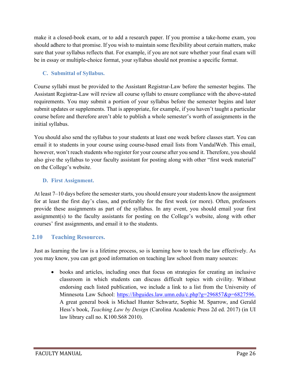make it a closed-book exam, or to add a research paper. If you promise a take-home exam, you should adhere to that promise. If you wish to maintain some flexibility about certain matters, make sure that your syllabus reflects that. For example, if you are not sure whether your final exam will be in essay or multiple-choice format, your syllabus should not promise a specific format.

## <span id="page-26-0"></span>**C. Submittal of Syllabus.**

Course syllabi must be provided to the Assistant Registrar-Law before the semester begins. The Assistant Registrar-Law will review all course syllabi to ensure compliance with the above-stated requirements. You may submit a portion of your syllabus before the semester begins and later submit updates or supplements. That is appropriate, for example, if you haven't taught a particular course before and therefore aren't able to publish a whole semester's worth of assignments in the initial syllabus.

You should also send the syllabus to your students at least one week before classes start. You can email it to students in your course using course-based email lists from VandalWeb. This email, however, won't reach students who register for your course after you send it. Therefore, you should also give the syllabus to your faculty assistant for posting along with other "first week material" on the College's website.

#### <span id="page-26-1"></span>**D. First Assignment.**

At least 7–10 days before the semester starts, you should ensure your students know the assignment for at least the first day's class, and preferably for the first week (or more). Often, professors provide these assignments as part of the syllabus. In any event, you should email your first assignment(s) to the faculty assistants for posting on the College's website, along with other courses' first assignments, and email it to the students.

## <span id="page-26-2"></span>**2.10 Teaching Resources.**

Just as learning the law is a lifetime process, so is learning how to teach the law effectively. As you may know, you can get good information on teaching law school from many sources:

• books and articles, including ones that focus on strategies for creating an inclusive classroom in which students can discuss difficult topics with civility. Without endorsing each listed publication, we include a link to a list from the University of Minnesota Law School: [https://libguides.law.umn.edu/c.php?g=296857&p=6827596.](https://libguides.law.umn.edu/c.php?g=296857&p=6827596) A great general book is Michael Hunter Schwartz, Sophie M. Sparrow, and Gerald Hess's book, *Teaching Law by Design* (Carolina Academic Press 2d ed. 2017) (in UI law library call no. K100.S68 2010).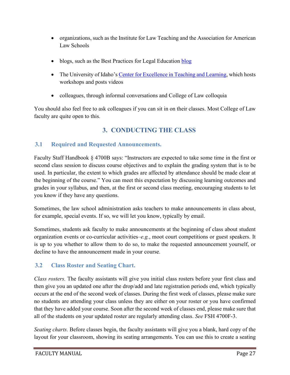- organizations, such as the Institute for Law Teaching and the Association for American Law Schools
- • [blog](https://bestpracticeslegaled.com/)s, such as the Best Practices for Legal Education blog
- The University of Idaho's [Center for Excellence in Teaching and Learning,](https://www.webpages.uidaho.edu/cetl/) which hosts workshops and posts videos
- colleagues, through informal conversations and College of Law colloquia

<span id="page-27-0"></span>You should also feel free to ask colleagues if you can sit in on their classes. Most College of Law faculty are quite open to this.

# **3. CONDUCTING THE CLASS**

# <span id="page-27-1"></span>**3.1 Required and Requested Announcements.**

Faculty Staff Handbook § 4700B says: "Instructors are expected to take some time in the first or second class session to discuss course objectives and to explain the grading system that is to be used. In particular, the extent to which grades are affected by attendance should be made clear at the beginning of the course." You can meet this expectation by discussing learning outcomes and grades in your syllabus, and then, at the first or second class meeting, encouraging students to let you know if they have any questions.

Sometimes, the law school administration asks teachers to make announcements in class about, for example, special events. If so, we will let you know, typically by email.

Sometimes, students ask faculty to make announcements at the beginning of class about student organization events or co-curricular activities–*e.g.*, moot court competitions or guest speakers. It is up to you whether to allow them to do so, to make the requested announcement yourself, or decline to have the announcement made in your course.

# <span id="page-27-2"></span>**3.2 Class Roster and Seating Chart.**

*Class rosters.* The faculty assistants will give you initial class rosters before your first class and then give you an updated one after the drop/add and late registration periods end, which typically occurs at the end of the second week of classes. During the first week of classes, please make sure no students are attending your class unless they are either on your roster or you have confirmed that they have added your course. Soon after the second week of classes end, please make sure that all of the students on your updated roster are regularly attending class. *See* FSH 4700F-3.

*Seating charts.* Before classes begin, the faculty assistants will give you a blank, hard copy of the layout for your classroom, showing its seating arrangements. You can use this to create a seating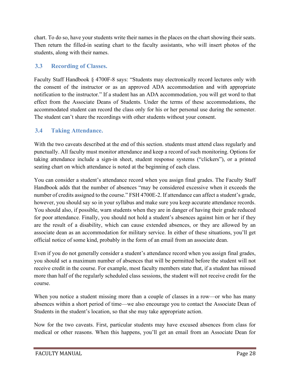chart. To do so, have your students write their names in the places on the chart showing their seats. Then return the filled-in seating chart to the faculty assistants, who will insert photos of the students, along with their names.

#### <span id="page-28-0"></span>**3.3 Recording of Classes.**

Faculty Staff Handbook § 4700F-8 says: "Students may electronically record lectures only with the consent of the instructor or as an approved ADA accommodation and with appropriate notification to the instructor." If a student has an ADA accommodation, you will get word to that effect from the Associate Deans of Students. Under the terms of these accommodations, the accommodated student can record the class only for his or her personal use during the semester. The student can't share the recordings with other students without your consent.

#### <span id="page-28-1"></span>**3.4 Taking Attendance.**

With the two caveats described at the end of this section. students must attend class regularly and punctually. All faculty must monitor attendance and keep a record of such monitoring. Options for taking attendance include a sign-in sheet, student response systems ("clickers"), or a printed seating chart on which attendance is noted at the beginning of each class.

You can consider a student's attendance record when you assign final grades. The Faculty Staff Handbook adds that the number of absences "may be considered excessive when it exceeds the number of credits assigned to the course." FSH 4700E-2. If attendance can affect a student's grade, however, you should say so in your syllabus and make sure you keep accurate attendance records. You should also, if possible, warn students when they are in danger of having their grade reduced for poor attendance. Finally, you should not hold a student's absences against him or her if they are the result of a disability, which can cause extended absences, or they are allowed by an associate dean as an accommodation for military service. In either of these situations, you'll get official notice of some kind, probably in the form of an email from an associate dean.

Even if you do not generally consider a student's attendance record when you assign final grades, you should set a maximum number of absences that will be permitted before the student will not receive credit in the course. For example, most faculty members state that, if a student has missed more than half of the regularly scheduled class sessions, the student will not receive credit for the course.

When you notice a student missing more than a couple of classes in a row—or who has many absences within a short period of time—we also encourage you to contact the Associate Dean of Students in the student's location, so that she may take appropriate action.

Now for the two caveats. First, particular students may have excused absences from class for medical or other reasons. When this happens, you'll get an email from an Associate Dean for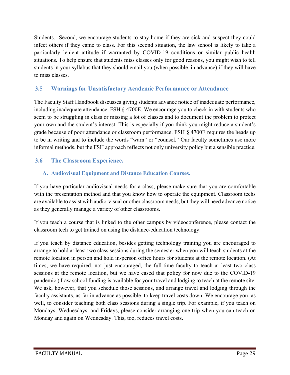Students. Second, we encourage students to stay home if they are sick and suspect they could infect others if they came to class. For this second situation, the law school is likely to take a particularly lenient attitude if warranted by COVID-19 conditions or similar public health situations. To help ensure that students miss classes only for good reasons, you might wish to tell students in your syllabus that they should email you (when possible, in advance) if they will have to miss classes.

## <span id="page-29-0"></span>**3.5 Warnings for Unsatisfactory Academic Performance or Attendance**

The Faculty Staff Handbook discusses giving students advance notice of inadequate performance, including inadequate attendance. FSH § 4700E. We encourage you to check in with students who seem to be struggling in class or missing a lot of classes and to document the problem to protect your own and the student's interest. This is especially if you think you might reduce a student's grade because of poor attendance or classroom performance. FSH § 4700E requires the heads up to be in writing and to include the words "warn" or "counsel." Our faculty sometimes use more informal methods, but the FSH approach reflects not only university policy but a sensible practice.

# <span id="page-29-2"></span><span id="page-29-1"></span>**3.6 The Classroom Experience.**

## **A. Audiovisual Equipment and Distance Education Courses.**

If you have particular audiovisual needs for a class, please make sure that you are comfortable with the presentation method and that you know how to operate the equipment. Classroom techs are available to assist with audio-visual or other classroom needs, but they will need advance notice as they generally manage a variety of other classrooms.

If you teach a course that is linked to the other campus by videoconference, please contact the classroom tech to get trained on using the distance-education technology.

If you teach by distance education, besides getting technology training you are encouraged to arrange to hold at least two class sessions during the semester when you will teach students at the remote location in person and hold in-person office hours for students at the remote location. (At times, we have required, not just encouraged, the full-time faculty to teach at least two class sessions at the remote location, but we have eased that policy for now due to the COVID-19 pandemic.) Law school funding is available for your travel and lodging to teach at the remote site. We ask, however, that you schedule those sessions, and arrange travel and lodging through the faculty assistants, as far in advance as possible, to keep travel costs down. We encourage you, as well, to consider teaching both class sessions during a single trip. For example, if you teach on Mondays, Wednesdays, and Fridays, please consider arranging one trip when you can teach on Monday and again on Wednesday. This, too, reduces travel costs.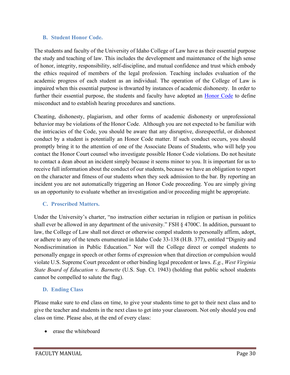#### <span id="page-30-0"></span>**B. Student Honor Code.**

The students and faculty of the University of Idaho College of Law have as their essential purpose the study and teaching of law. This includes the development and maintenance of the high sense of honor, integrity, responsibility, self-discipline, and mutual confidence and trust which embody the ethics required of members of the legal profession. Teaching includes evaluation of the academic progress of each student as an individual. The operation of the College of Law is impaired when this essential purpose is thwarted by instances of academic dishonesty. In order to further their essential purpose, the students and faculty have adopted an **Honor Code** to define misconduct and to establish hearing procedures and sanctions.

Cheating, dishonesty, plagiarism, and other forms of academic dishonesty or unprofessional behavior may be violations of the Honor Code. Although you are not expected to be familiar with the intricacies of the Code, you should be aware that any disruptive, disrespectful, or dishonest conduct by a student is potentially an Honor Code matter. If such conduct occurs, you should promptly bring it to the attention of one of the Associate Deans of Students, who will help you contact the Honor Court counsel who investigate possible Honor Code violations. Do not hesitate to contact a dean about an incident simply because it seems minor to you. It is important for us to receive full information about the conduct of our students, because we have an obligation to report on the character and fitness of our students when they seek admission to the bar. By reporting an incident you are not automatically triggering an Honor Code proceeding. You are simply giving us an opportunity to evaluate whether an investigation and/or proceeding might be appropriate.

#### <span id="page-30-1"></span>**C. Proscribed Matters.**

Under the University's charter, "no instruction either sectarian in religion or partisan in politics shall ever be allowed in any department of the university." FSH § 4700C. In addition, pursuant to law, the College of Law shall not direct or otherwise compel students to personally affirm, adopt, or adhere to any of the tenets enumerated in Idaho Code 33-138 (H.B. 377), entitled "Dignity and Nondiscrimination in Public Education." Nor will the College direct or compel students to personally engage in speech or other forms of expression when that direction or compulsion would violate U.S. Supreme Court precedent or other binding legal precedent or laws. *E.g.*, *West Virginia State Board of Education v. Barnette* (U.S. Sup. Ct. 1943) (holding that public school students cannot be compelled to salute the flag).

#### <span id="page-30-2"></span>**D. Ending Class**

Please make sure to end class on time, to give your students time to get to their next class and to give the teacher and students in the next class to get into your classroom. Not only should you end class on time. Please also, at the end of every class:

• erase the whiteboard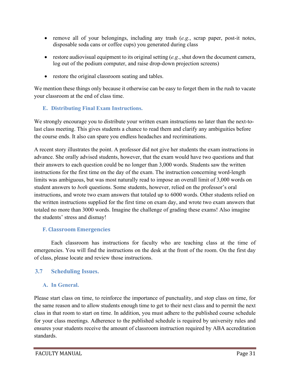- remove all of your belongings, including any trash (*e.g.*, scrap paper, post-it notes, disposable soda cans or coffee cups) you generated during class
- restore audiovisual equipment to its original setting (*e.g.*, shut down the document camera, log out of the podium computer, and raise drop-down projection screens)
- restore the original classroom seating and tables.

We mention these things only because it otherwise can be easy to forget them in the rush to vacate your classroom at the end of class time.

#### <span id="page-31-0"></span>**E. Distributing Final Exam Instructions.**

We strongly encourage you to distribute your written exam instructions no later than the next-tolast class meeting. This gives students a chance to read them and clarify any ambiguities before the course ends. It also can spare you endless headaches and recriminations.

A recent story illustrates the point. A professor did not give her students the exam instructions in advance. She orally advised students, however, that the exam would have two questions and that their answers to each question could be no longer than 3,000 words. Students saw the written instructions for the first time on the day of the exam. The instruction concerning word-length limits was ambiguous, but was most naturally read to impose an overall limit of 3,000 words on student answers to *both* questions. Some students, however, relied on the professor's oral instructions, and wrote two exam answers that totaled up to 6000 words. Other students relied on the written instructions supplied for the first time on exam day, and wrote two exam answers that totaled no more than 3000 words. Imagine the challenge of grading these exams! Also imagine the students' stress and dismay!

#### <span id="page-31-1"></span>**F. Classroom Emergencies**

Each classroom has instructions for faculty who are teaching class at the time of emergencies. You will find the instructions on the desk at the front of the room. On the first day of class, please locate and review those instructions.

## <span id="page-31-3"></span><span id="page-31-2"></span>**3.7 Scheduling Issues.**

## **A. In General.**

Please start class on time, to reinforce the importance of punctuality, and stop class on time, for the same reason and to allow students enough time to get to their next class and to permit the next class in that room to start on time. In addition, you must adhere to the published course schedule for your class meetings. Adherence to the published schedule is required by university rules and ensures your students receive the amount of classroom instruction required by ABA accreditation standards.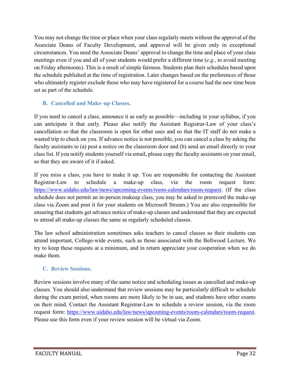You may not change the time or place when your class regularly meets without the approval of the Associate Deans of Faculty Development, and approval will be given only in exceptional circumstances. You need the Associate Deans' approval to change the time and place of your class meetings even if you and all of your students would prefer a different time (*e.g.*, to avoid meeting on Friday afternoons). This is a result of simple fairness. Students plan their schedules based upon the schedule published at the time of registration. Later changes based on the preferences of those who ultimately register exclude those who may have registered for a course had the new time been set as part of the schedule.

## <span id="page-32-0"></span>**B. Cancelled and Make–up Classes.**

If you need to cancel a class, announce it as early as possible—including in your syllabus, if you can anticipate it that early. Please also notify the Assistant Registrar-Law of your class's cancellation so that the classroom is open for other uses and so that the IT staff do not make a wasted trip to check on you. If advance notice is not possible, you can cancel a class by asking the faculty assistants to (a) post a notice on the classroom door and (b) send an email directly to your class list. If you notify students yourself via email, please copy the faculty assistants on your email, so that they are aware of it if asked.

If you miss a class, you have to make it up. You are responsible for contacting the Assistant Registrar-Law to schedule a make-up class, via the room request form: [https://www.uidaho.edu/law/news/upcoming-events/room-calendars/room-request.](https://www.uidaho.edu/law/news/upcoming-events/room-calendars/room-request) (If the class schedule does not permit an in-person makeup class, you may be asked to prerecord the make-up class via Zoom and post it for your students on Microsoft Stream.) You are also responsible for ensuring that students get advance notice of make-up classes and understand that they are expected to attend all make-up classes the same as regularly scheduled classes.

The law school administration sometimes asks teachers to cancel classes so their students can attend important, College-wide events, such as those associated with the Bellwood Lecture. We try to keep these requests at a minimum, and in return appreciate your cooperation when we do make them.

# <span id="page-32-1"></span>**C. Review Sessions.**

Review sessions involve many of the same notice and scheduling issues as cancelled and make-up classes. You should also understand that review sessions may be particularly difficult to schedule during the exam period, when rooms are more likely to be in use, and students have other exams on their mind. Contact the Assistant Registrar-Law to schedule a review session, via the room request form: [https://www.uidaho.edu/law/news/upcoming-events/room-calendars/room-request.](https://www.uidaho.edu/law/news/upcoming-events/room-calendars/room-request) Please use this form even if your review session will be virtual via Zoom.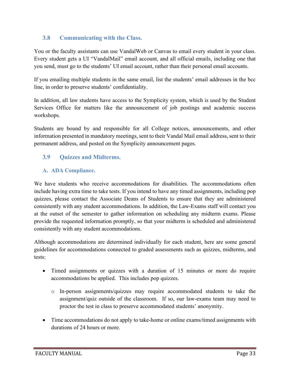## <span id="page-33-0"></span>**3.8 Communicating with the Class.**

You or the faculty assistants can use VandalWeb or Canvas to email every student in your class. Every student gets a UI "VandalMail" email account, and all official emails, including one that you send, must go to the students' UI email account, rather than their personal email accounts.

If you emailing multiple students in the same email, list the students' email addresses in the bcc line, in order to preserve students' confidentiality.

In addition, all law students have access to the Symplicity system, which is used by the Student Services Office for matters like the announcement of job postings and academic success workshops.

Students are bound by and responsible for all College notices, announcements, and other information presented in mandatory meetings, sent to their Vandal Mail email address, sent to their permanent address, and posted on the Symplicity announcement pages.

## <span id="page-33-1"></span>**3.9 Quizzes and Midterms.**

#### <span id="page-33-2"></span>**A. ADA Compliance.**

We have students who receive accommodations for disabilities. The accommodations often include having extra time to take tests. If you intend to have any timed assignments, including pop quizzes, please contact the Associate Deans of Students to ensure that they are administered consistently with any student accommodations. In addition, the Law-Exams staff will contact you at the outset of the semester to gather information on scheduling any midterm exams. Please provide the requested information promptly, so that your midterm is scheduled and administered consistently with any student accommodations.

Although accommodations are determined individually for each student, here are some general guidelines for accommodations connected to graded assessments such as quizzes, midterms, and tests:

- Timed assignments or quizzes with a duration of 15 minutes or more do require accommodations be applied. This includes pop quizzes.
	- o In-person assignments/quizzes may require accommodated students to take the assignment/quiz outside of the classroom. If so, our law-exams team may need to proctor the test in class to preserve accommodated students' anonymity.
- Time accommodations do not apply to take-home or online exams/timed assignments with durations of 24 hours or more.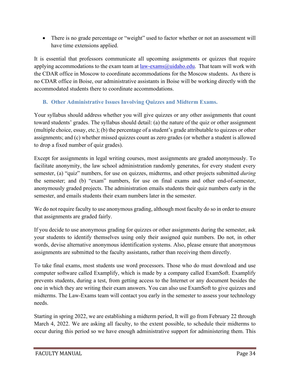• There is no grade percentage or "weight" used to factor whether or not an assessment will have time extensions applied.

It is essential that professors communicate all upcoming assignments or quizzes that require applying accommodations to the exam team at  $law-exams@uidaho.edu$ . That team will work with the CDAR office in Moscow to coordinate accommodations for the Moscow students. As there is no CDAR office in Boise, our administrative assistants in Boise will be working directly with the accommodated students there to coordinate accommodations.

## <span id="page-34-0"></span>**B. Other Administrative Issues Involving Quizzes and Midterm Exams.**

Your syllabus should address whether you will give quizzes or any other assignments that count toward students' grades. The syllabus should detail: (a) the nature of the quiz or other assignment (multiple choice, essay, etc.); (b) the percentage of a student's grade attributable to quizzes or other assignments; and (c) whether missed quizzes count as zero grades (or whether a student is allowed to drop a fixed number of quiz grades).

Except for assignments in legal writing courses, most assignments are graded anonymously. To facilitate anonymity, the law school administration randomly generates, for every student every semester, (a) "quiz" numbers, for use on quizzes, midterms, and other projects submitted *during*  the semester; and (b) "exam" numbers, for use on final exams and other end-of-semester, anonymously graded projects. The administration emails students their quiz numbers early in the semester, and emails students their exam numbers later in the semester.

We do not require faculty to use anonymous grading, although most faculty do so in order to ensure that assignments are graded fairly.

If you decide to use anonymous grading for quizzes or other assignments during the semester, ask your students to identify themselves using only their assigned quiz numbers. Do not, in other words, devise alternative anonymous identification systems. Also, please ensure that anonymous assignments are submitted to the faculty assistants, rather than receiving them directly.

To take final exams, most students use word processors. Those who do must download and use computer software called Examplify, which is made by a company called ExamSoft. Examplify prevents students, during a test, from getting access to the Internet or any document besides the one in which they are writing their exam answers. You can also use ExamSoft to give quizzes and midterms. The Law-Exams team will contact you early in the semester to assess your technology needs.

Starting in spring 2022, we are establishing a midterm period, It will go from February 22 through March 4, 2022. We are asking all faculty, to the extent possible, to schedule their midterms to occur during this period so we have enough administrative support for administering them. This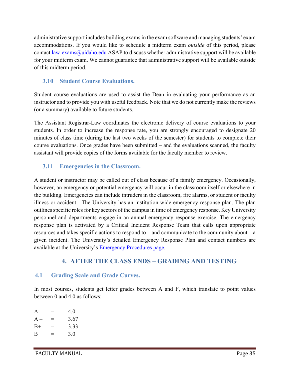administrative support includes building exams in the exam software and managing students' exam accommodations. If you would like to schedule a midterm exam *outside* of this period, please contact [law-exams@uidaho.edu](mailto:law-exams@uidaho.edu) ASAP to discuss whether administrative support will be available for your midterm exam. We cannot guarantee that administrative support will be available outside of this midterm period.

## <span id="page-35-0"></span>**3.10 Student Course Evaluations.**

Student course evaluations are used to assist the Dean in evaluating your performance as an instructor and to provide you with useful feedback. Note that we do not currently make the reviews (or a summary) available to future students.

The Assistant Registrar-Law coordinates the electronic delivery of course evaluations to your students. In order to increase the response rate, you are strongly encouraged to designate 20 minutes of class time (during the last two weeks of the semester) for students to complete their course evaluations. Once grades have been submitted – and the evaluations scanned, the faculty assistant will provide copies of the forms available for the faculty member to review.

## <span id="page-35-1"></span>**3.11 Emergencies in the Classroom.**

A student or instructor may be called out of class because of a family emergency. Occasionally, however, an emergency or potential emergency will occur in the classroom itself or elsewhere in the building. Emergencies can include intruders in the classroom, fire alarms, or student or faculty illness or accident. The University has an institution-wide emergency response plan. The plan outlines specific roles for key sectors of the campus in time of emergency response. Key University personnel and departments engage in an annual emergency response exercise. The emergency response plan is activated by a Critical Incident Response Team that calls upon appropriate resources and takes specific actions to respond to – and communicate to the community about – a given incident. The University's detailed Emergency Response Plan and contact numbers are available at the University's [Emergency Procedures page.](http://www.uidaho.edu/infrastructure/pss/emergency-management/in-case-of-emergency)

# **4. AFTER THE CLASS ENDS – GRADING AND TESTING**

## <span id="page-35-3"></span><span id="page-35-2"></span>**4.1 Grading Scale and Grade Curves.**

In most courses, students get letter grades between A and F, which translate to point values between 0 and 4.0 as follows:

| A     |          | 4.0  |
|-------|----------|------|
| $A -$ | ═        | 3.67 |
| $B+$  | $=$      | 3.33 |
| B     | $\equiv$ | 3.0  |
|       |          |      |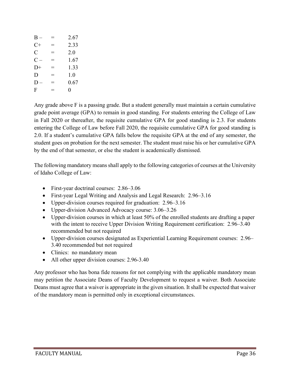| $B -$ |     | 2.67 |
|-------|-----|------|
| $C+$  | $=$ | 2.33 |
| C     | =   | 2.0  |
| $C -$ | $=$ | 1.67 |
| $D+$  | $=$ | 1.33 |
| D     | $=$ | 1.0  |
| $D -$ | $=$ | 0.67 |
| F     | —   | 0    |

Any grade above F is a passing grade. But a student generally must maintain a certain cumulative grade point average (GPA) to remain in good standing. For students entering the College of Law in Fall 2020 or thereafter, the requisite cumulative GPA for good standing is 2.3. For students entering the College of Law before Fall 2020, the requisite cumulative GPA for good standing is 2.0. If a student's cumulative GPA falls below the requisite GPA at the end of any semester, the student goes on probation for the next semester. The student must raise his or her cumulative GPA by the end of that semester, or else the student is academically dismissed.

The following mandatory means shall apply to the following categories of courses at the University of Idaho College of Law:

- First-year doctrinal courses: 2.86–3.06
- First-year Legal Writing and Analysis and Legal Research: 2.96–3.16
- Upper-division courses required for graduation: 2.96–3.16
- Upper-division Advanced Advocacy course: 3.06–3.26
- Upper-division courses in which at least 50% of the enrolled students are drafting a paper with the intent to receive Upper Division Writing Requirement certification: 2.96–3.40 recommended but not required
- Upper-division courses designated as Experiential Learning Requirement courses: 2.96– 3.40 recommended but not required
- Clinics: no mandatory mean
- All other upper division courses: 2.96-3.40

Any professor who has bona fide reasons for not complying with the applicable mandatory mean may petition the Associate Deans of Faculty Development to request a waiver. Both Associate Deans must agree that a waiver is appropriate in the given situation. It shall be expected that waiver of the mandatory mean is permitted only in exceptional circumstances.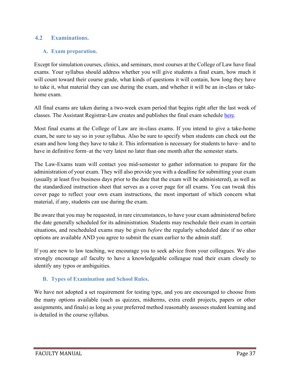#### <span id="page-37-1"></span><span id="page-37-0"></span>**4.2 Examinations.**

#### **A. Exam preparation.**

Except for simulation courses, clinics, and seminars, most courses at the College of Law have final exams. Your syllabus should address whether you will give students a final exam, how much it will count toward their course grade, what kinds of questions it will contain, how long they have to take it, what material they can use during the exam, and whether it will be an in-class or takehome exam.

All final exams are taken during a two-week exam period that begins right after the last week of classes. The Assistant Registrar-Law creates and publishes the final exam schedule [here.](https://www.uidaho.edu/law/academics/academic-admin)

Most final exams at the College of Law are in-class exams. If you intend to give a take-home exam, be sure to say so in your syllabus. Also be sure to specify when students can check out the exam and how long they have to take it. This information is necessary for students to have– and to have in definitive form–at the very latest no later than one month after the semester starts.

The Law-Exams team will contact you mid-semester to gather information to prepare for the administration of your exam. They will also provide you with a deadline for submitting your exam (usually at least five business days prior to the date that the exam will be administered), as well as the standardized instruction sheet that serves as a cover page for all exams. You can tweak this cover page to reflect your own exam instructions, the most important of which concern what material, if any, students can use during the exam.

Be aware that you may be requested, in rare circumstances, to have your exam administered before the date generally scheduled for its administration. Students may reschedule their exam in certain situations, and rescheduled exams may be given *before* the regularly scheduled date if no other options are available AND you agree to submit the exam earlier to the admin staff.

If you are new to law teaching, we encourage you to seek advice from your colleagues. We also strongly encourage *all* faculty to have a knowledgeable colleague read their exam closely to identify any typos or ambiguities.

#### <span id="page-37-2"></span>**B. Types of Examination and School Rules.**

We have not adopted a set requirement for testing type, and you are encouraged to choose from the many options available (such as quizzes, midterms, extra credit projects, papers or other assignments, and finals) as long as your preferred method reasonably assesses student learning and is detailed in the course syllabus.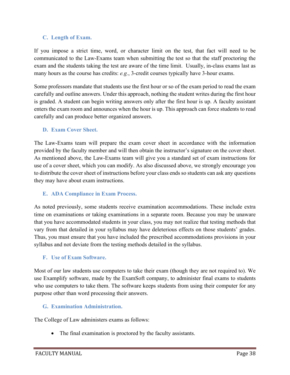#### <span id="page-38-0"></span>**C. Length of Exam.**

If you impose a strict time, word, or character limit on the test, that fact will need to be communicated to the Law-Exams team when submitting the test so that the staff proctoring the exam and the students taking the test are aware of the time limit. Usually, in-class exams last as many hours as the course has credits: *e.g.*, 3-credit courses typically have 3-hour exams.

Some professors mandate that students use the first hour or so of the exam period to read the exam carefully and outline answers. Under this approach, nothing the student writes during the first hour is graded. A student can begin writing answers only after the first hour is up. A faculty assistant enters the exam room and announces when the hour is up. This approach can force students to read carefully and can produce better organized answers.

#### <span id="page-38-1"></span>**D. Exam Cover Sheet.**

The Law-Exams team will prepare the exam cover sheet in accordance with the information provided by the faculty member and will then obtain the instructor's signature on the cover sheet. As mentioned above, the Law-Exams team will give you a standard set of exam instructions for use of a cover sheet, which you can modify. As also discussed above, we strongly encourage you to distribute the cover sheet of instructions before your class ends so students can ask any questions they may have about exam instructions.

#### <span id="page-38-2"></span>**E. ADA Compliance in Exam Process.**

As noted previously, some students receive examination accommodations. These include extra time on examinations or taking examinations in a separate room. Because you may be unaware that you have accommodated students in your class, you may not realize that testing methods that vary from that detailed in your syllabus may have deleterious effects on those students' grades. Thus, you must ensure that you have included the prescribed accommodations provisions in your syllabus and not deviate from the testing methods detailed in the syllabus.

#### <span id="page-38-3"></span>**F. Use of Exam Software.**

Most of our law students use computers to take their exam (though they are not required to). We use Examplify software, made by the ExamSoft company, to administer final exams to students who use computers to take them. The software keeps students from using their computer for any purpose other than word processing their answers.

## <span id="page-38-4"></span>**G. Examination Administration.**

The College of Law administers exams as follows:

• The final examination is proctored by the faculty assistants.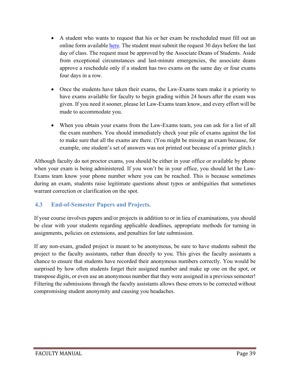- A student who wants to request that his or her exam be rescheduled must fill out an online form available [here.](https://www.uidaho.edu/law/academics/academic-admin) The student must submit the request 30 days before the last day of class. The request must be approved by the Associate Deans of Students. Aside from exceptional circumstances and last-minute emergencies, the associate deans approve a reschedule only if a student has two exams on the same day or four exams four days in a row.
- Once the students have taken their exams, the Law-Exams team make it a priority to have exams available for faculty to begin grading within 24 hours after the exam was given. If you need it sooner, please let Law-Exams team know, and every effort will be made to accommodate you.
- When you obtain your exams from the Law-Exams team, you can ask for a list of all the exam numbers. You should immediately check your pile of exams against the list to make sure that all the exams are there. (You might be missing an exam because, for example, one student's set of answers was not printed out because of a printer glitch.)

Although faculty do not proctor exams, you should be either in your office or available by phone when your exam is being administered. If you won't be in your office, you should let the Law-Exams team know your phone number where you can be reached. This is because sometimes during an exam, students raise legitimate questions about typos or ambiguities that sometimes warrant correction or clarification on the spot.

## <span id="page-39-0"></span>**4.3 End-of-Semester Papers and Projects.**

If your course involves papers and/or projects in addition to or in lieu of examinations, you should be clear with your students regarding applicable deadlines, appropriate methods for turning in assignments, policies on extensions, and penalties for late submission.

If any non-exam, graded project is meant to be anonymous, be sure to have students submit the project to the faculty assistants, rather than directly to you. This gives the faculty assistants a chance to ensure that students have recorded their anonymous numbers correctly. You would be surprised by how often students forget their assigned number and make up one on the spot, or transpose digits, or even use an anonymous number that they were assigned in a previous semester! Filtering the submissions through the faculty assistants allows these errors to be corrected without compromising student anonymity and causing you headaches.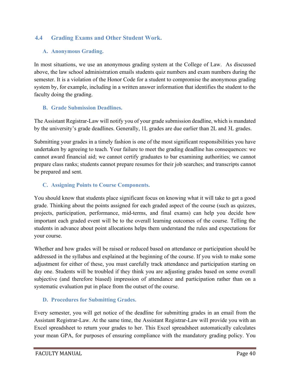## <span id="page-40-1"></span><span id="page-40-0"></span>**4.4 Grading Exams and Other Student Work.**

#### **A. Anonymous Grading.**

In most situations, we use an anonymous grading system at the College of Law. As discussed above, the law school administration emails students quiz numbers and exam numbers during the semester. It is a violation of the Honor Code for a student to compromise the anonymous grading system by, for example, including in a written answer information that identifies the student to the faculty doing the grading.

#### <span id="page-40-2"></span>**B. Grade Submission Deadlines.**

The Assistant Registrar-Law will notify you of your grade submission deadline, which is mandated by the university's grade deadlines. Generally, 1L grades are due earlier than 2L and 3L grades.

Submitting your grades in a timely fashion is one of the most significant responsibilities you have undertaken by agreeing to teach. Your failure to meet the grading deadline has consequences: we cannot award financial aid; we cannot certify graduates to bar examining authorities; we cannot prepare class ranks; students cannot prepare resumes for their job searches; and transcripts cannot be prepared and sent.

#### <span id="page-40-3"></span>**C. Assigning Points to Course Components.**

You should know that students place significant focus on knowing what it will take to get a good grade. Thinking about the points assigned for each graded aspect of the course (such as quizzes, projects, participation, performance, mid-terms, and final exams) can help you decide how important each graded event will be to the overall learning outcomes of the course. Telling the students in advance about point allocations helps them understand the rules and expectations for your course.

Whether and how grades will be raised or reduced based on attendance or participation should be addressed in the syllabus and explained at the beginning of the course. If you wish to make some adjustment for either of these, you must carefully track attendance and participation starting on day one. Students will be troubled if they think you are adjusting grades based on some overall subjective (and therefore biased) impression of attendance and participation rather than on a systematic evaluation put in place from the outset of the course.

## <span id="page-40-4"></span>**D. Procedures for Submitting Grades.**

Every semester, you will get notice of the deadline for submitting grades in an email from the Assistant Registrar-Law. At the same time, the Assistant Registrar-Law will provide you with an Excel spreadsheet to return your grades to her. This Excel spreadsheet automatically calculates your mean GPA, for purposes of ensuring compliance with the mandatory grading policy. You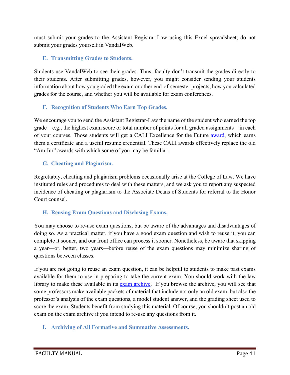must submit your grades to the Assistant Registrar-Law using this Excel spreadsheet; do not submit your grades yourself in VandalWeb.

#### <span id="page-41-0"></span>**E. Transmitting Grades to Students.**

Students use VandalWeb to see their grades. Thus, faculty don't transmit the grades directly to their students. After submitting grades, however, you might consider sending your students information about how you graded the exam or other end-of-semester projects, how you calculated grades for the course, and whether you will be available for exam conferences.

#### <span id="page-41-1"></span>**F. Recognition of Students Who Earn Top Grades.**

We encourage you to send the Assistant Registrar-Law the name of the student who earned the top grade—e.g., the highest exam score or total number of points for all graded assignments—in each of your courses. Those students will get a CALI Excellence for the Future [award,](http://www.cali.org/content/cali-excellence-future-awards) which earns them a certificate and a useful resume credential. These CALI awards effectively replace the old "Am Jur" awards with which some of you may be familiar.

#### <span id="page-41-2"></span>**G. Cheating and Plagiarism.**

Regrettably, cheating and plagiarism problems occasionally arise at the College of Law. We have instituted rules and procedures to deal with these matters, and we ask you to report any suspected incidence of cheating or plagiarism to the Associate Deans of Students for referral to the Honor Court counsel.

## <span id="page-41-3"></span>**H. Reusing Exam Questions and Disclosing Exams.**

You may choose to re-use exam questions, but be aware of the advantages and disadvantages of doing so. As a practical matter, if you have a good exam question and wish to reuse it, you can complete it sooner, and our front office can process it sooner. Nonetheless, be aware that skipping a year—or, better, two years—before reuse of the exam questions may minimize sharing of questions between classes.

If you are not going to reuse an exam question, it can be helpful to students to make past exams available for them to use in preparing to take the current exam. You should work with the law library to make these available in its [exam archive.](http://www.uidaho.edu/law/library/course-reserves) If you browse the archive, you will see that some professors make available packets of material that include not only an old exam, but also the professor's analysis of the exam questions, a model student answer, and the grading sheet used to score the exam. Students benefit from studying this material. Of course, you shouldn't post an old exam on the exam archive if you intend to re-use any questions from it.

#### <span id="page-41-4"></span>**I. Archiving of All Formative and Summative Assessments.**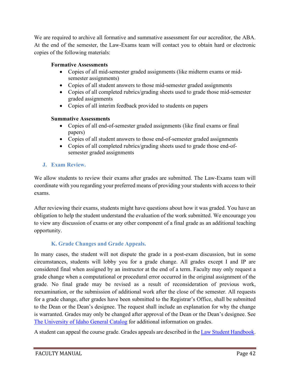We are required to archive all formative and summative assessment for our accreditor, the ABA. At the end of the semester, the Law-Exams team will contact you to obtain hard or electronic copies of the following materials:

#### **Formative Assessments**

- Copies of all mid-semester graded assignments (like midterm exams or midsemester assignments)
- Copies of all student answers to those mid-semester graded assignments
- Copies of all completed rubrics/grading sheets used to grade those mid-semester graded assignments
- Copies of all interim feedback provided to students on papers

#### **Summative Assessments**

- Copies of all end-of-semester graded assignments (like final exams or final papers)
- Copies of all student answers to those end-of-semester graded assignments
- Copies of all completed rubrics/grading sheets used to grade those end-ofsemester graded assignments

## <span id="page-42-0"></span>**J. Exam Review.**

We allow students to review their exams after grades are submitted. The Law-Exams team will coordinate with you regarding your preferred means of providing your students with access to their exams.

After reviewing their exams, students might have questions about how it was graded. You have an obligation to help the student understand the evaluation of the work submitted. We encourage you to view any discussion of exams or any other component of a final grade as an additional teaching opportunity.

## **K. Grade Changes and Grade Appeals.**

<span id="page-42-1"></span>In many cases, the student will not dispute the grade in a post-exam discussion, but in some circumstances, students will lobby you for a grade change. All grades except I and IP are considered final when assigned by an instructor at the end of a term. Faculty may only request a grade change when a computational or procedural error occurred in the original assignment of the grade. No final grade may be revised as a result of reconsideration of previous work, reexamination, or the submission of additional work after the close of the semester. All requests for a grade change, after grades have been submitted to the Registrar's Office, shall be submitted to the Dean or the Dean's designee. The request shall include an explanation for why the change is warranted. Grades may only be changed after approval of the Dean or the Dean's designee. See [The University of Idaho General Catalog](http://uidaho.smartcatalogiq.com/2017-2018/University-of-Idaho-General-Catalog/General-Requirements-and-Academic-Procedures/E-Grades) for additional information on grades.

A student can appeal the course grade. Grades appeals are described in the [Law Student Handbook.](http://www.uidaho.edu/law/academics/academic-admin)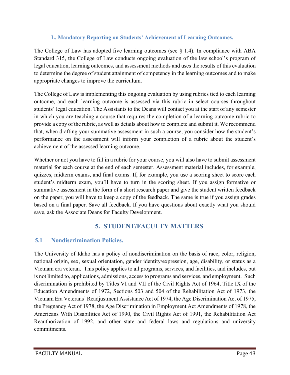#### **L. Mandatory Reporting on Students' Achievement of Learning Outcomes.**

<span id="page-43-0"></span>The College of Law has adopted five learning outcomes (see  $\S$  1.4). In compliance with ABA Standard 315, the College of Law conducts ongoing evaluation of the law school's program of legal education, learning outcomes, and assessment methods and uses the results of this evaluation to determine the degree of student attainment of competency in the learning outcomes and to make appropriate changes to improve the curriculum.

The College of Law is implementing this ongoing evaluation by using rubrics tied to each learning outcome, and each learning outcome is assessed via this rubric in select courses throughout students' legal education. The Assistants to the Deans will contact you at the start of any semester in which you are teaching a course that requires the completion of a learning outcome rubric to provide a copy of the rubric, as well as details about how to complete and submit it. We recommend that, when drafting your summative assessment in such a course, you consider how the student's performance on the assessment will inform your completion of a rubric about the student's achievement of the assessed learning outcome.

Whether or not you have to fill in a rubric for your course, you will also have to submit assessment material for each course at the end of each semester. Assessment material includes, for example, quizzes, midterm exams, and final exams. If, for example, you use a scoring sheet to score each student's midterm exam, you'll have to turn in the scoring sheet. If you assign formative or summative assessment in the form of a short research paper and give the student written feedback on the paper, you will have to keep a copy of the feedback. The same is true if you assign grades based on a final paper. Save all feedback. If you have questions about exactly what you should save, ask the Associate Deans for Faculty Development.

# **5. STUDENT/FACULTY MATTERS**

# <span id="page-43-2"></span><span id="page-43-1"></span>**5.1 Nondiscrimination Policies.**

The University of Idaho has a policy of nondiscrimination on the basis of race, color, religion, national origin, sex, sexual orientation, gender identity/expression, age, disability, or status as a Vietnam era veteran. This policy applies to all programs, services, and facilities, and includes, but is not limited to, applications, admissions, access to programs and services, and employment. Such discrimination is prohibited by Titles VI and VII of the Civil Rights Act of 1964, Title IX of the Education Amendments of 1972, Sections 503 and 504 of the Rehabilitation Act of 1973, the Vietnam Era Veterans' Readjustment Assistance Act of 1974, the Age Discrimination Act of 1975, the Pregnancy Act of 1978, the Age Discrimination in Employment Act Amendments of 1978, the Americans With Disabilities Act of 1990, the Civil Rights Act of 1991, the Rehabilitation Act Reauthorization of 1992, and other state and federal laws and regulations and university commitments.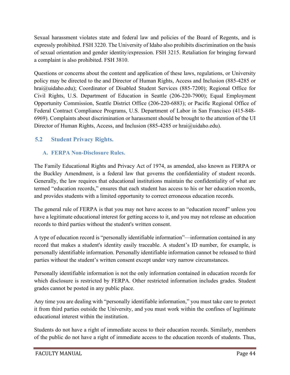Sexual harassment violates state and federal law and policies of the Board of Regents, and is expressly prohibited. FSH 3220. The University of Idaho also prohibits discrimination on the basis of sexual orientation and gender identity/expression. FSH 3215. Retaliation for bringing forward a complaint is also prohibited. FSH 3810.

Questions or concerns about the content and application of these laws, regulations, or University policy may be directed to the and Director of Human Rights, Access and Inclusion (885-4285 or hrai@uidaho.edu); Coordinator of Disabled Student Services (885-7200); Regional Office for Civil Rights, U.S. Department of Education in Seattle (206-220-7900); Equal Employment Opportunity Commission, Seattle District Office (206-220-6883); or Pacific Regional Office of Federal Contract Compliance Programs, U.S. Department of Labor in San Francisco (415-848- 6969). Complaints about discrimination or harassment should be brought to the attention of the UI Director of Human Rights, Access, and Inclusion (885-4285 or hrai@uidaho.edu).

# <span id="page-44-1"></span><span id="page-44-0"></span>**5.2 Student Privacy Rights.**

## **A. FERPA Non-Disclosure Rules.**

The Family Educational Rights and Privacy Act of 1974, as amended, also known as FERPA or the Buckley Amendment, is a federal law that governs the confidentiality of student records. Generally, the law requires that educational institutions maintain the confidentiality of what are termed "education records," ensures that each student has access to his or her education records, and provides students with a limited opportunity to correct erroneous education records.

The general rule of FERPA is that you may not have access to an "education record" unless you have a legitimate educational interest for getting access to it, and you may not release an education records to third parties without the student's written consent.

A type of education record is "personally identifiable information"—information contained in any record that makes a student's identity easily traceable. A student's ID number, for example, is personally identifiable information. Personally identifiable information cannot be released to third parties without the student's written consent except under very narrow circumstances.

Personally identifiable information is not the only information contained in education records for which disclosure is restricted by FERPA. Other restricted information includes grades. Student grades cannot be posted in any public place.

Any time you are dealing with "personally identifiable information," you must take care to protect it from third parties outside the University, and you must work within the confines of legitimate educational interest within the institution.

Students do not have a right of immediate access to their education records. Similarly, members of the public do not have a right of immediate access to the education records of students. Thus,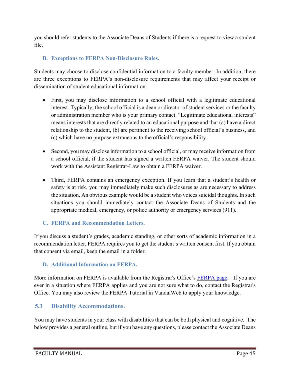you should refer students to the Associate Deans of Students if there is a request to view a student file.

## <span id="page-45-0"></span>**B. Exceptions to FERPA Non-Disclosure Rules.**

Students may choose to disclose confidential information to a faculty member. In addition, there are three exceptions to FERPA's non-disclosure requirements that may affect your receipt or dissemination of student educational information.

- First, you may disclose information to a school official with a legitimate educational interest. Typically, the school official is a dean or director of student services or the faculty or administration member who is your primary contact. "Legitimate educational interests" means interests that are directly related to an educational purpose and that (a) have a direct relationship to the student, (b) are pertinent to the receiving school official's business, and (c) which have no purpose extraneous to the official's responsibility.
- Second, you may disclose information to a school official, or may receive information from a school official, if the student has signed a written FERPA waiver. The student should work with the Assistant Registrar-Law to obtain a FERPA waiver.
- Third, FERPA contains an emergency exception. If you learn that a student's health or safety is at risk, you may immediately make such disclosures as are necessary to address the situation. An obvious example would be a student who voices suicidal thoughts. In such situations you should immediately contact the Associate Deans of Students and the appropriate medical, emergency, or police authority or emergency services (911).

## <span id="page-45-1"></span>**C. FERPA and Recommendation Letters.**

If you discuss a student's grades, academic standing, or other sorts of academic information in a recommendation letter, FERPA requires you to get the student's written consent first. If you obtain that consent via email, keep the email in a folder.

## <span id="page-45-2"></span>**D. Additional Information on FERPA.**

More information on FERPA is available from the Registrar's Office's [FERPA page.](http://www.uidaho.edu/registrar/faculty/ferpa) If you are ever in a situation where FERPA applies and you are not sure what to do, contact the Registrar's Office. You may also review the FERPA Tutorial in VandalWeb to apply your knowledge.

# <span id="page-45-3"></span>**5.3 Disability Accommodations.**

You may have students in your class with disabilities that can be both physical and cognitive. The below provides a general outline, but if you have any questions, please contact the Associate Deans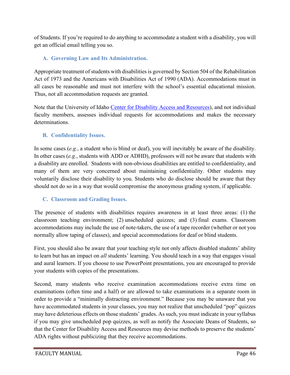of Students. If you're required to do anything to accommodate a student with a disability, you will get an official email telling you so.

## <span id="page-46-0"></span>**A. Governing Law and Its Administration.**

Appropriate treatment of students with disabilities is governed by Section 504 of the Rehabilitation Act of 1973 and the Americans with Disabilities Act of 1990 (ADA). Accommodations must in all cases be reasonable and must not interfere with the school's essential educational mission. Thus, not all accommodation requests are granted.

Note that the University of Idaho [Center for Disability Access and Resources\)](https://www.uidaho.edu/current-students/cdar), and not individual faculty members, assesses individual requests for accommodations and makes the necessary determinations.

## <span id="page-46-1"></span>**B. Confidentiality Issues.**

In some cases (*e.g.*, a student who is blind or deaf), you will inevitably be aware of the disability. In other cases (*e.g.*, students with ADD or ADHD), professors will not be aware that students with a disability are enrolled. Students with non-obvious disabilities are entitled to confidentiality, and many of them are very concerned about maintaining confidentiality. Other students may voluntarily disclose their disability to you. Students who do disclose should be aware that they should not do so in a way that would compromise the anonymous grading system, if applicable.

## <span id="page-46-2"></span>**C. Classroom and Grading Issues.**

The presence of students with disabilities requires awareness in at least three areas: (1) the classroom teaching environment; (2) unscheduled quizzes; and (3) final exams. Classroom accommodations may include the use of note-takers, the use of a tape recorder (whether or not you normally allow taping of classes), and special accommodations for deaf or blind students.

First, you should also be aware that your teaching style not only affects disabled students' ability to learn but has an impact on *all* students' learning. You should teach in a way that engages visual and aural learners. If you choose to use PowerPoint presentations, you are encouraged to provide your students with copies of the presentations.

Second, many students who receive examination accommodations receive extra time on examinations (often time and a half) or are allowed to take examinations in a separate room in order to provide a "minimally distracting environment." Because you may be unaware that you have accommodated students in your classes, you may not realize that unscheduled "pop" quizzes may have deleterious effects on those students' grades. As such, you must indicate in your syllabus if you may give unscheduled pop quizzes, as well as notify the Associate Deans of Students, so that the Center for Disability Access and Resources may devise methods to preserve the students' ADA rights without publicizing that they receive accommodations.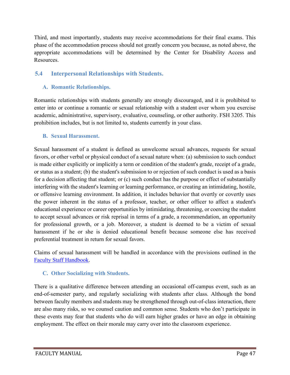Third, and most importantly, students may receive accommodations for their final exams. This phase of the accommodation process should not greatly concern you because, as noted above, the appropriate accommodations will be determined by the Center for Disability Access and Resources.

# <span id="page-47-1"></span><span id="page-47-0"></span>**5.4 Interpersonal Relationships with Students.**

## **A. Romantic Relationships.**

Romantic relationships with students generally are strongly discouraged, and it is prohibited to enter into or continue a romantic or sexual relationship with a student over whom you exercise academic, administrative, supervisory, evaluative, counseling, or other authority. FSH 3205. This prohibition includes, but is not limited to, students currently in your class.

## <span id="page-47-2"></span>**B. Sexual Harassment.**

Sexual harassment of a student is defined as unwelcome sexual advances, requests for sexual favors, or other verbal or physical conduct of a sexual nature when: (a) submission to such conduct is made either explicitly or implicitly a term or condition of the student's grade, receipt of a grade, or status as a student; (b) the student's submission to or rejection of such conduct is used as a basis for a decision affecting that student; or (c) such conduct has the purpose or effect of substantially interfering with the student's learning or learning performance, or creating an intimidating, hostile, or offensive learning environment. In addition, it includes behavior that overtly or covertly uses the power inherent in the status of a professor, teacher, or other officer to affect a student's educational experience or career opportunities by intimidating, threatening, or coercing the student to accept sexual advances or risk reprisal in terms of a grade, a recommendation, an opportunity for professional growth, or a job. Moreover, a student is deemed to be a victim of sexual harassment if he or she is denied educational benefit because someone else has received preferential treatment in return for sexual favors.

Claims of sexual harassment will be handled in accordance with the provisions outlined in the [Faculty Staff Handbook.](https://www.uidaho.edu/governance/policy/policies/fsh)

## <span id="page-47-3"></span>**C. Other Socializing with Students.**

There is a qualitative difference between attending an occasional off-campus event, such as an end-of-semester party, and regularly socializing with students after class. Although the bond between faculty members and students may be strengthened through out-of-class interaction, there are also many risks, so we counsel caution and common sense. Students who don't participate in these events may fear that students who do will earn higher grades or have an edge in obtaining employment. The effect on their morale may carry over into the classroom experience.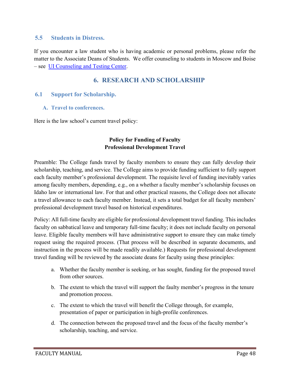#### <span id="page-48-0"></span>**5.5 Students in Distress.**

If you encounter a law student who is having academic or personal problems, please refer the matter to the Associate Deans of Students. We offer counseling to students in Moscow and Boise – see [UI Counseling and Testing Center.](https://www.uidaho.edu/current-students/ctc)

# **6. RESEARCH AND SCHOLARSHIP**

#### <span id="page-48-3"></span><span id="page-48-2"></span><span id="page-48-1"></span>**6.1 Support for Scholarship.**

**A. Travel to conferences.**

Here is the law school's current travel policy:

#### **Policy for Funding of Faculty Professional Development Travel**

Preamble: The College funds travel by faculty members to ensure they can fully develop their scholarship, teaching, and service. The College aims to provide funding sufficient to fully support each faculty member's professional development. The requisite level of funding inevitably varies among faculty members, depending, e.g., on a whether a faculty member's scholarship focuses on Idaho law or international law. For that and other practical reasons, the College does not allocate a travel allowance to each faculty member. Instead, it sets a total budget for all faculty members' professional development travel based on historical expenditures.

Policy: All full-time faculty are eligible for professional development travel funding. This includes faculty on sabbatical leave and temporary full-time faculty; it does not include faculty on personal leave. Eligible faculty members will have administrative support to ensure they can make timely request using the required process. (That process will be described in separate documents, and instruction in the process will be made readily available.) Requests for professional development travel funding will be reviewed by the associate deans for faculty using these principles:

- a. Whether the faculty member is seeking, or has sought, funding for the proposed travel from other sources.
- b. The extent to which the travel will support the faulty member's progress in the tenure and promotion process.
- c. The extent to which the travel will benefit the College through, for example, presentation of paper or participation in high-profile conferences.
- d. The connection between the proposed travel and the focus of the faculty member's scholarship, teaching, and service.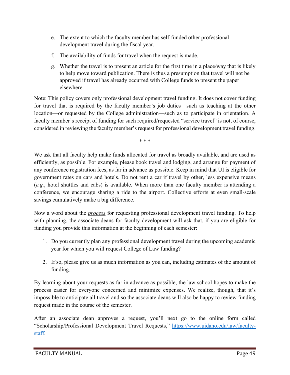- e. The extent to which the faculty member has self-funded other professional development travel during the fiscal year.
- f. The availability of funds for travel when the request is made.
- g. Whether the travel is to present an article for the first time in a place/way that is likely to help move toward publication. There is thus a presumption that travel will not be approved if travel has already occurred with College funds to present the paper elsewhere.

Note: This policy covers only professional development travel funding. It does not cover funding for travel that is required by the faculty member's job duties—such as teaching at the other location—or requested by the College administration—such as to participate in orientation. A faculty member's receipt of funding for such required/requested "service travel" is not, of course, considered in reviewing the faculty member's request for professional development travel funding.

\* \* \*

We ask that all faculty help make funds allocated for travel as broadly available, and are used as efficiently, as possible. For example, please book travel and lodging, and arrange for payment of any conference registration fees, as far in advance as possible. Keep in mind that UI is eligible for government rates on cars and hotels. Do not rent a car if travel by other, less expensive means (*e.g.*, hotel shuttles and cabs) is available. When more than one faculty member is attending a conference, we encourage sharing a ride to the airport. Collective efforts at even small-scale savings cumulatively make a big difference.

Now a word about the *process* for requesting professional development travel funding. To help with planning, the associate deans for faculty development will ask that, if you are eligible for funding you provide this information at the beginning of each semester:

- 1. Do you currently plan any professional development travel during the upcoming academic year for which you will request College of Law funding?
- 2. If so, please give us as much information as you can, including estimates of the amount of funding.

By learning about your requests as far in advance as possible, the law school hopes to make the process easier for everyone concerned and minimize expenses. We realize, though, that it's impossible to anticipate all travel and so the associate deans will also be happy to review funding request made in the course of the semester.

After an associate dean approves a request, you'll next go to the online form called "Scholarship/Professional Development Travel Requests," [https://www.uidaho.edu/law/faculty](https://www.uidaho.edu/law/faculty-staff)[staff.](https://www.uidaho.edu/law/faculty-staff)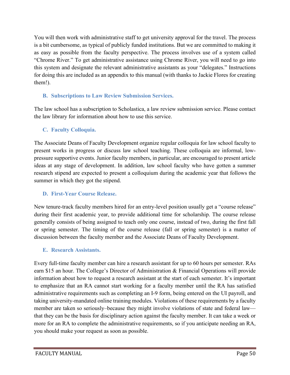You will then work with administrative staff to get university approval for the travel. The process is a bit cumbersome, as typical of publicly funded institutions. But we are committed to making it as easy as possible from the faculty perspective. The process involves use of a system called "Chrome River." To get administrative assistance using Chrome River, you will need to go into this system and designate the relevant administrative assistants as your "delegates." Instructions for doing this are included as an appendix to this manual (with thanks to Jackie Flores for creating them!).

#### <span id="page-50-0"></span>**B. Subscriptions to Law Review Submission Services.**

The law school has a subscription to Scholastica, a law review submission service. Please contact the law library for information about how to use this service.

#### <span id="page-50-1"></span>**C. Faculty Colloquia.**

The Associate Deans of Faculty Development organize regular colloquia for law school faculty to present works in progress or discuss law school teaching. These colloquia are informal, lowpressure supportive events. Junior faculty members, in particular, are encouraged to present article ideas at any stage of development. In addition, law school faculty who have gotten a summer research stipend are expected to present a colloquium during the academic year that follows the summer in which they got the stipend.

#### <span id="page-50-2"></span>**D. First-Year Course Release.**

New tenure-track faculty members hired for an entry-level position usually get a "course release" during their first academic year, to provide additional time for scholarship. The course release generally consists of being assigned to teach only one course, instead of two, during the first fall or spring semester. The timing of the course release (fall or spring semester) is a matter of discussion between the faculty member and the Associate Deans of Faculty Development.

## <span id="page-50-3"></span>**E. Research Assistants.**

Every full-time faculty member can hire a research assistant for up to 60 hours per semester. RAs earn \$15 an hour. The College's Director of Administration & Financial Operations will provide information about how to request a research assistant at the start of each semester. It's important to emphasize that an RA cannot start working for a faculty member until the RA has satisfied administrative requirements such as completing an I-9 form, being entered on the UI payroll, and taking university-mandated online training modules. Violations of these requirements by a faculty member are taken so seriously–because they might involve violations of state and federal law that they can be the basis for disciplinary action against the faculty member. It can take a week or more for an RA to complete the administrative requirements, so if you anticipate needing an RA, you should make your request as soon as possible.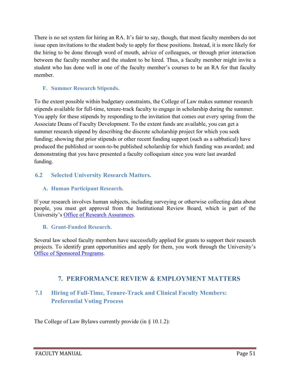There is no set system for hiring an RA. It's fair to say, though, that most faculty members do not issue open invitations to the student body to apply for these positions. Instead, it is more likely for the hiring to be done through word of mouth, advice of colleagues, or through prior interaction between the faculty member and the student to be hired. Thus, a faculty member might invite a student who has done well in one of the faculty member's courses to be an RA for that faculty member.

#### <span id="page-51-0"></span>**F. Summer Research Stipends.**

To the extent possible within budgetary constraints, the College of Law makes summer research stipends available for full-time, tenure-track faculty to engage in scholarship during the summer. You apply for these stipends by responding to the invitation that comes out every spring from the Associate Deans of Faculty Development. To the extent funds are available, you can get a summer research stipend by describing the discrete scholarship project for which you seek funding; showing that prior stipends or other recent funding support (such as a sabbatical) have produced the published or soon-to-be published scholarship for which funding was awarded; and demonstrating that you have presented a faculty colloquium since you were last awarded funding.

## <span id="page-51-2"></span><span id="page-51-1"></span>**6.2 Selected University Research Matters.**

#### **A. Human Participant Research.**

If your research involves human subjects, including surveying or otherwise collecting data about people, you must get approval from the Institutional Review Board, which is part of the University's [Office of Research Assurances.](https://www.uidaho.edu/research/faculty/research-assurances)

#### <span id="page-51-3"></span>**B. Grant-Funded Research.**

Several law school faculty members have successfully applied for grants to support their research projects. To identify grant opportunities and apply for them, you work through the University's [Office of Sponsored Programs.](https://www.uidaho.edu/research/about/osp)

# **7. PERFORMANCE REVIEW & EMPLOYMENT MATTERS**

# <span id="page-51-5"></span><span id="page-51-4"></span>**7.1 Hiring of Full-Time, Tenure-Track and Clinical Faculty Members: Preferential Voting Process**

The College of Law Bylaws currently provide (in § 10.1.2):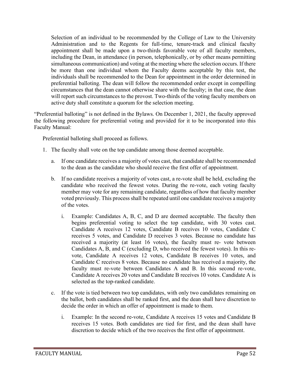Selection of an individual to be recommended by the College of Law to the University Administration and to the Regents for full-time, tenure-track and clinical faculty appointment shall be made upon a two-thirds favorable vote of all faculty members, including the Dean, in attendance (in person, telephonically, or by other means permitting simultaneous communication) and voting at the meeting where the selection occurs. If there be more than one individual whom the Faculty deems acceptable by this test, the individuals shall be recommended to the Dean for appointment in the order determined in preferential balloting. The dean will follow the recommended order except in compelling circumstances that the dean cannot otherwise share with the faculty; in that case, the dean will report such circumstances to the provost. Two-thirds of the voting faculty members on active duty shall constitute a quorum for the selection meeting.

"Preferential balloting" is not defined in the Bylaws. On December 1, 2021, the faculty approved the following procedure for preferential voting and provided for it to be incorporated into this Faculty Manual:

Preferential balloting shall proceed as follows.

- 1. The faculty shall vote on the top candidate among those deemed acceptable.
	- a. If one candidate receives a majority of votes cast, that candidate shall be recommended to the dean as the candidate who should receive the first offer of appointment.
	- b. If no candidate receives a majority of votes cast, a re-vote shall be held, excluding the candidate who received the fewest votes. During the re-vote, each voting faculty member may vote for any remaining candidate, regardless of how that faculty member voted previously. This process shall be repeated until one candidate receives a majority of the votes.
		- i. Example: Candidates A, B, C, and D are deemed acceptable. The faculty then begins preferential voting to select the top candidate, with 30 votes cast. Candidate A receives 12 votes, Candidate B receives 10 votes, Candidate C receives 5 votes, and Candidate D receives 3 votes. Because no candidate has received a majority (at least 16 votes), the faculty must re- vote between Candidates A, B, and C (excluding D, who received the fewest votes). In this revote, Candidate A receives 12 votes, Candidate B receives 10 votes, and Candidate C receives 8 votes. Because no candidate has received a majority, the faculty must re-vote between Candidates A and B. In this second re-vote, Candidate A receives 20 votes and Candidate B receives 10 votes. Candidate A is selected as the top-ranked candidate.
	- c. If the vote is tied between two top candidates, with only two candidates remaining on the ballot, both candidates shall be ranked first, and the dean shall have discretion to decide the order in which an offer of appointment is made to them.
		- i. Example: In the second re-vote, Candidate A receives 15 votes and Candidate B receives 15 votes. Both candidates are tied for first, and the dean shall have discretion to decide which of the two receives the first offer of appointment.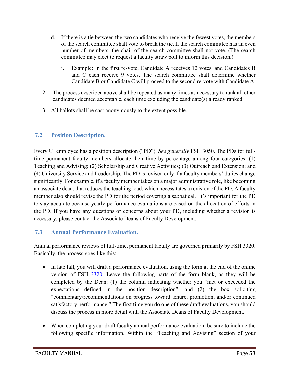- d. If there is a tie between the two candidates who receive the fewest votes, the members of the search committee shall vote to break the tie. If the search committee has an even number of members, the chair of the search committee shall not vote. (The search committee may elect to request a faculty straw poll to inform this decision.)
	- i. Example: In the first re-vote, Candidate A receives 12 votes, and Candidates B and C each receive 9 votes. The search committee shall determine whether Candidate B or Candidate C will proceed to the second re-vote with Candidate A.
- 2. The process described above shall be repeated as many times as necessary to rank all other candidates deemed acceptable, each time excluding the candidate(s) already ranked.
- 3. All ballots shall be cast anonymously to the extent possible.

# <span id="page-53-0"></span>**7.2 Position Description.**

Every UI employee has a position description ("PD"). *See generally* FSH 3050. The PDs for fulltime permanent faculty members allocate their time by percentage among four categories: (1) Teaching and Advising; (2) Scholarship and Creative Activities; (3) Outreach and Extension; and (4) University Service and Leadership. The PD is revised only if a faculty members' duties change significantly. For example, if a faculty member takes on a major administrative role, like becoming an associate dean, that reduces the teaching load, which necessitates a revision of the PD. A faculty member also should revise the PD for the period covering a sabbatical. It's important for the PD to stay accurate because yearly performance evaluations are based on the allocation of efforts in the PD. If you have any questions or concerns about your PD, including whether a revision is necessary, please contact the Associate Deans of Faculty Development.

# <span id="page-53-1"></span>**7.3 Annual Performance Evaluation.**

Annual performance reviews of full-time, permanent faculty are governed primarily by FSH 3320. Basically, the process goes like this:

- In late fall, you will draft a performance evaluation, using the form at the end of the online version of FSH [3320.](https://www.uidaho.edu/governance/policy/policies/fsh/3/3320) Leave the following parts of the form blank, as they will be completed by the Dean: (1) the column indicating whether you "met or exceeded the expectations defined in the position description"; and (2) the box soliciting "commentary/recommendations on progress toward tenure, promotion, and/or continued satisfactory performance." The first time you do one of these draft evaluations, you should discuss the process in more detail with the Associate Deans of Faculty Development.
- When completing your draft faculty annual performance evaluation, be sure to include the following specific information. Within the "Teaching and Advising" section of your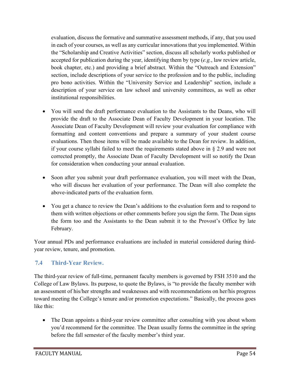evaluation, discuss the formative and summative assessment methods, if any, that you used in each of your courses, as well as any curricular innovations that you implemented. Within the "Scholarship and Creative Activities" section, discuss all scholarly works published or accepted for publication during the year, identifying them by type (*e.g.*, law review article, book chapter, etc.) and providing a brief abstract. Within the "Outreach and Extension" section, include descriptions of your service to the profession and to the public, including pro bono activities. Within the "University Service and Leadership" section, include a description of your service on law school and university committees, as well as other institutional responsibilities.

- You will send the draft performance evaluation to the Assistants to the Deans, who will provide the draft to the Associate Dean of Faculty Development in your location. The Associate Dean of Faculty Development will review your evaluation for compliance with formatting and content conventions and prepare a summary of your student course evaluations. Then those items will be made available to the Dean for review. In addition, if your course syllabi failed to meet the requirements stated above in § 2.9 and were not corrected promptly, the Associate Dean of Faculty Development will so notify the Dean for consideration when conducting your annual evaluation.
- Soon after you submit your draft performance evaluation, you will meet with the Dean, who will discuss her evaluation of your performance. The Dean will also complete the above-indicated parts of the evaluation form.
- You get a chance to review the Dean's additions to the evaluation form and to respond to them with written objections or other comments before you sign the form. The Dean signs the form too and the Assistants to the Dean submit it to the Provost's Office by late February.

Your annual PDs and performance evaluations are included in material considered during thirdyear review, tenure, and promotion.

## <span id="page-54-0"></span>**7.4 Third-Year Review.**

The third-year review of full-time, permanent faculty members is governed by FSH 3510 and the College of Law Bylaws. Its purpose, to quote the Bylaws, is "to provide the faculty member with an assessment of his/her strengths and weaknesses and with recommendations on her/his progress toward meeting the College's tenure and/or promotion expectations." Basically, the process goes like this:

• The Dean appoints a third-year review committee after consulting with you about whom you'd recommend for the committee. The Dean usually forms the committee in the spring before the fall semester of the faculty member's third year.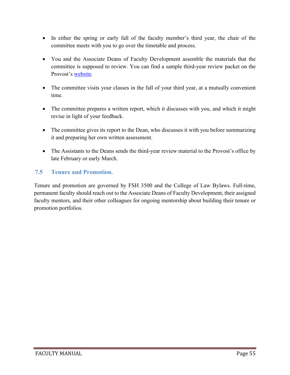- In either the spring or early fall of the faculty member's third year, the chair of the committee meets with you to go over the timetable and process.
- You and the Associate Deans of Faculty Development assemble the materials that the committee is supposed to review. You can find a sample third-year review packet on the Provost's [website.](https://www.uidaho.edu/provost/faculty/tenure)
- The committee visits your classes in the fall of your third year, at a mutually convenient time.
- The committee prepares a written report, which it discusses with you, and which it might revise in light of your feedback.
- The committee gives its report to the Dean, who discusses it with you before summarizing it and preparing her own written assessment.
- The Assistants to the Deans sends the third-year review material to the Provost's office by late February or early March.

## <span id="page-55-0"></span>**7.5 Tenure and Promotion.**

Tenure and promotion are governed by FSH 3500 and the College of Law Bylaws. Full-time, permanent faculty should reach out to the Associate Deans of Faculty Development, their assigned faculty mentors, and their other colleagues for ongoing mentorship about building their tenure or promotion portfolios.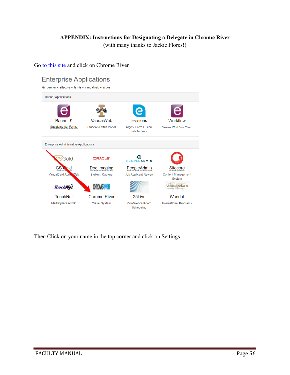#### **APPENDIX: Instructions for Designating a Delegate in Chrome River**

(with many thanks to Jackie Flores!)

Go [to this site](https://support.uidaho.edu/TDClient/40/Portal/requests/serviceDet?ID=707) and click on Chrome River



Then Click on your name in the top corner and click on Settings